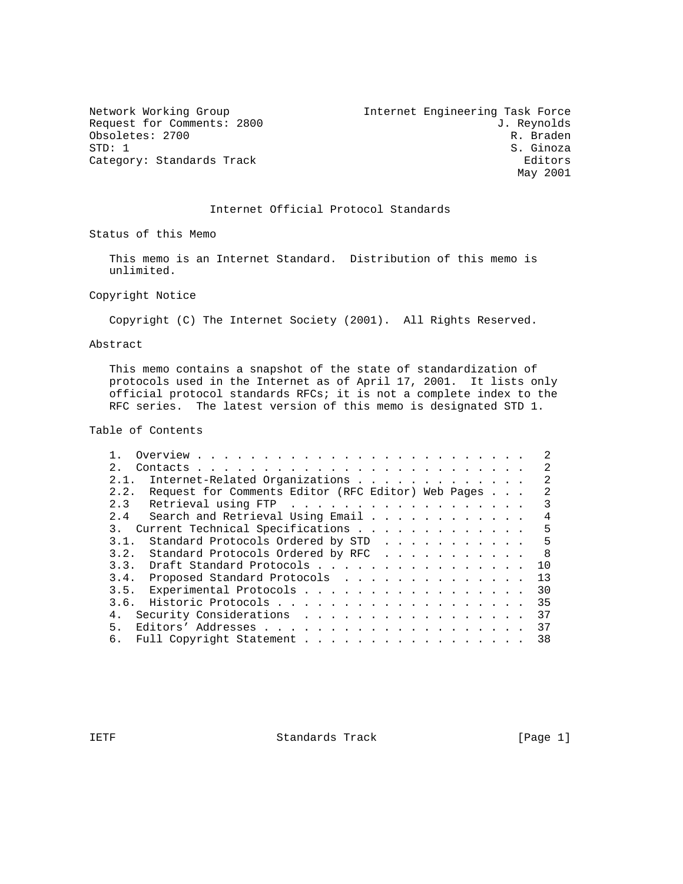Obsoletes: 2700<br>STD: 1 Category: Standards Track

Network Working Group 10 11 and 10 Internet Engineering Task Force Request for Comments: 2800 J. Reynolds<br>
Obsoletes: 2700 R. Braden S. Ginoza<br>Editors May 2001

### Internet Official Protocol Standards

Status of this Memo

 This memo is an Internet Standard. Distribution of this memo is unlimited.

Copyright Notice

Copyright (C) The Internet Society (2001). All Rights Reserved.

Abstract

 This memo contains a snapshot of the state of standardization of protocols used in the Internet as of April 17, 2001. It lists only official protocol standards RFCs; it is not a complete index to the RFC series. The latest version of this memo is designated STD 1.

Table of Contents

|                                                            | $\mathcal{L}$   |
|------------------------------------------------------------|-----------------|
| 2.1                                                        | $\mathcal{L}$   |
|                                                            | $\mathfrak{D}$  |
| Request for Comments Editor (RFC Editor) Web Pages<br>2.2. | $\mathcal{L}$   |
| 2.3 Retrieval using FTP                                    | 3               |
| Search and Retrieval Using Email<br>2.4                    | 4               |
| 3. Current Technical Specifications                        | 5               |
| Standard Protocols Ordered by STD<br>3.1.                  | 5               |
| Standard Protocols Ordered by RFC<br>3.2.                  | $\overline{8}$  |
| 3.3. Draft Standard Protocols                              | 10 <sup>°</sup> |
| 3.4. Proposed Standard Protocols                           | 13              |
| 3.5. Experimental Protocols                                | 30              |
|                                                            | 35              |
| Security Considerations                                    | 37              |
| 5 <sub>1</sub>                                             | 37              |
| 6. Full Copyright Statement                                | 38              |

IETF Standards Track [Page 1]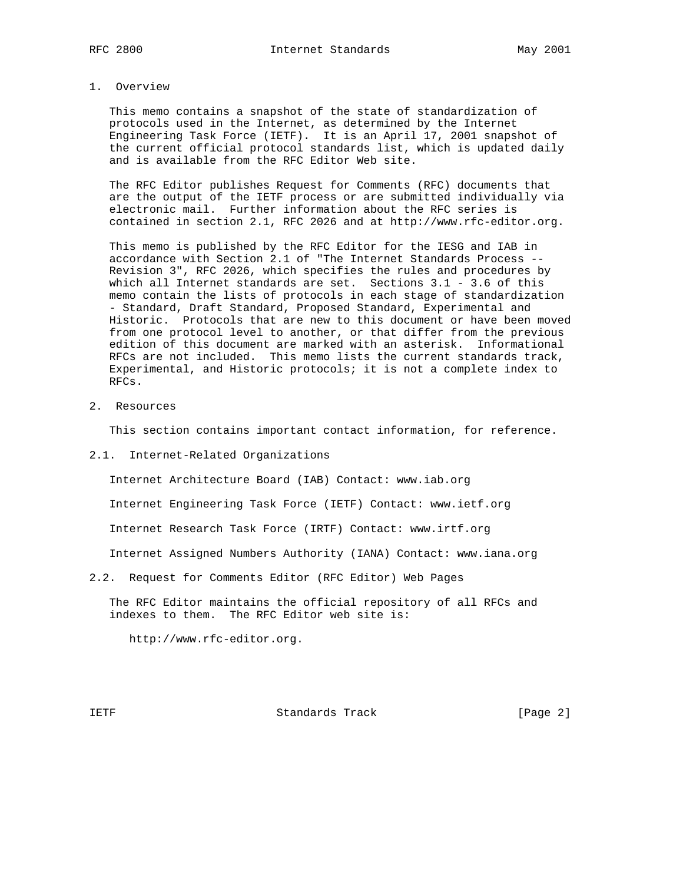#### 1. Overview

 This memo contains a snapshot of the state of standardization of protocols used in the Internet, as determined by the Internet Engineering Task Force (IETF). It is an April 17, 2001 snapshot of the current official protocol standards list, which is updated daily and is available from the RFC Editor Web site.

 The RFC Editor publishes Request for Comments (RFC) documents that are the output of the IETF process or are submitted individually via electronic mail. Further information about the RFC series is contained in section 2.1, RFC 2026 and at http://www.rfc-editor.org.

 This memo is published by the RFC Editor for the IESG and IAB in accordance with Section 2.1 of "The Internet Standards Process -- Revision 3", RFC 2026, which specifies the rules and procedures by which all Internet standards are set. Sections 3.1 - 3.6 of this memo contain the lists of protocols in each stage of standardization - Standard, Draft Standard, Proposed Standard, Experimental and Historic. Protocols that are new to this document or have been moved from one protocol level to another, or that differ from the previous edition of this document are marked with an asterisk. Informational RFCs are not included. This memo lists the current standards track, Experimental, and Historic protocols; it is not a complete index to RFCs.

2. Resources

This section contains important contact information, for reference.

2.1. Internet-Related Organizations

Internet Architecture Board (IAB) Contact: www.iab.org

Internet Engineering Task Force (IETF) Contact: www.ietf.org

Internet Research Task Force (IRTF) Contact: www.irtf.org

Internet Assigned Numbers Authority (IANA) Contact: www.iana.org

2.2. Request for Comments Editor (RFC Editor) Web Pages

 The RFC Editor maintains the official repository of all RFCs and indexes to them. The RFC Editor web site is:

http://www.rfc-editor.org.

IETF Standards Track [Page 2]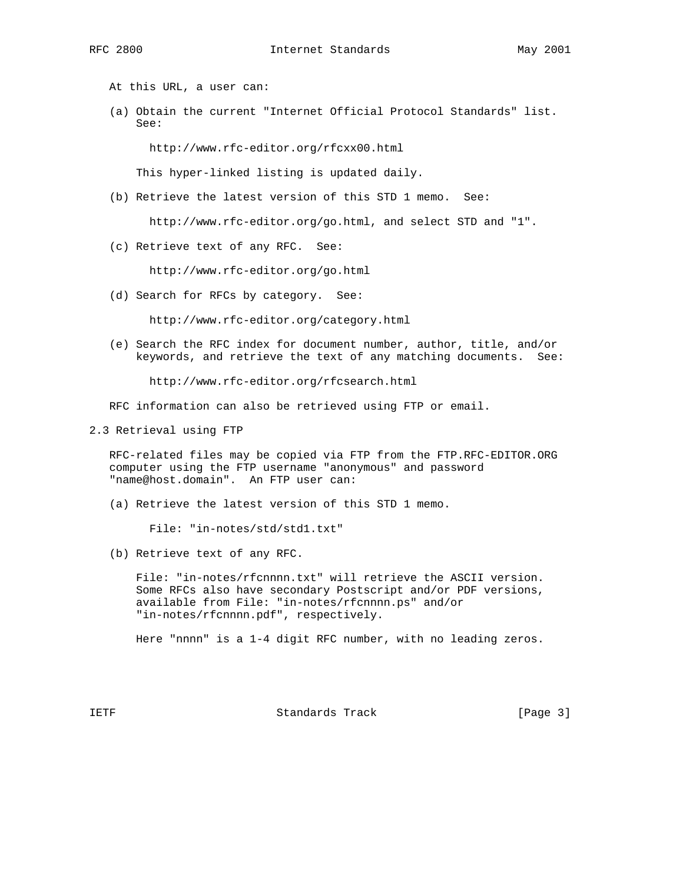At this URL, a user can:

 (a) Obtain the current "Internet Official Protocol Standards" list. See:

http://www.rfc-editor.org/rfcxx00.html

This hyper-linked listing is updated daily.

(b) Retrieve the latest version of this STD 1 memo. See:

http://www.rfc-editor.org/go.html, and select STD and "1".

(c) Retrieve text of any RFC. See:

http://www.rfc-editor.org/go.html

(d) Search for RFCs by category. See:

http://www.rfc-editor.org/category.html

 (e) Search the RFC index for document number, author, title, and/or keywords, and retrieve the text of any matching documents. See:

http://www.rfc-editor.org/rfcsearch.html

RFC information can also be retrieved using FTP or email.

2.3 Retrieval using FTP

 RFC-related files may be copied via FTP from the FTP.RFC-EDITOR.ORG computer using the FTP username "anonymous" and password "name@host.domain". An FTP user can:

(a) Retrieve the latest version of this STD 1 memo.

File: "in-notes/std/std1.txt"

(b) Retrieve text of any RFC.

 File: "in-notes/rfcnnnn.txt" will retrieve the ASCII version. Some RFCs also have secondary Postscript and/or PDF versions, available from File: "in-notes/rfcnnnn.ps" and/or "in-notes/rfcnnnn.pdf", respectively.

Here "nnnn" is a 1-4 digit RFC number, with no leading zeros.

IETF Standards Track [Page 3]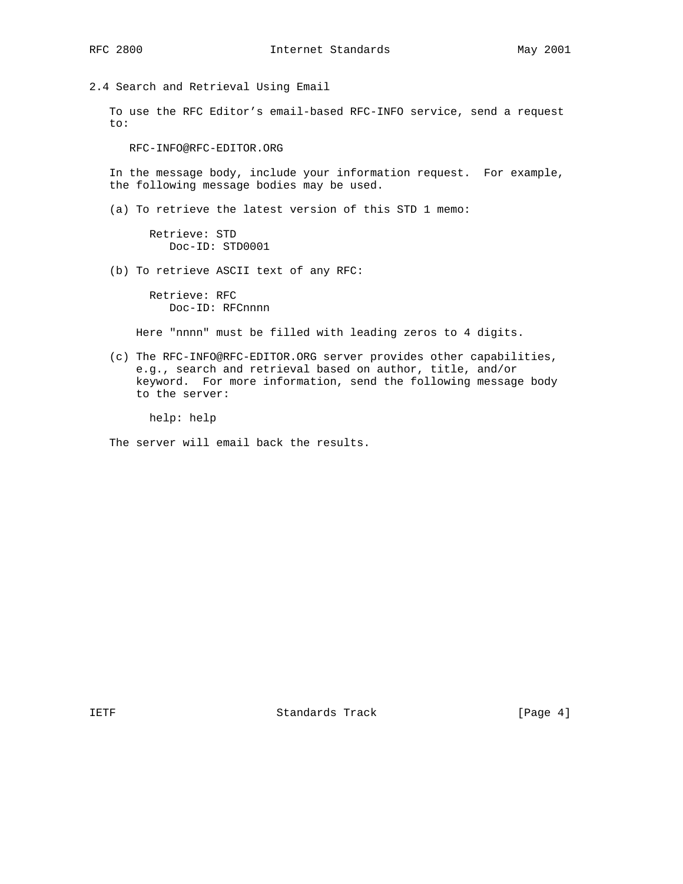2.4 Search and Retrieval Using Email

 To use the RFC Editor's email-based RFC-INFO service, send a request to:

RFC-INFO@RFC-EDITOR.ORG

 In the message body, include your information request. For example, the following message bodies may be used.

(a) To retrieve the latest version of this STD 1 memo:

 Retrieve: STD Doc-ID: STD0001

(b) To retrieve ASCII text of any RFC:

 Retrieve: RFC Doc-ID: RFCnnnn

Here "nnnn" must be filled with leading zeros to 4 digits.

 (c) The RFC-INFO@RFC-EDITOR.ORG server provides other capabilities, e.g., search and retrieval based on author, title, and/or keyword. For more information, send the following message body to the server:

help: help

The server will email back the results.

IETF Standards Track [Page 4]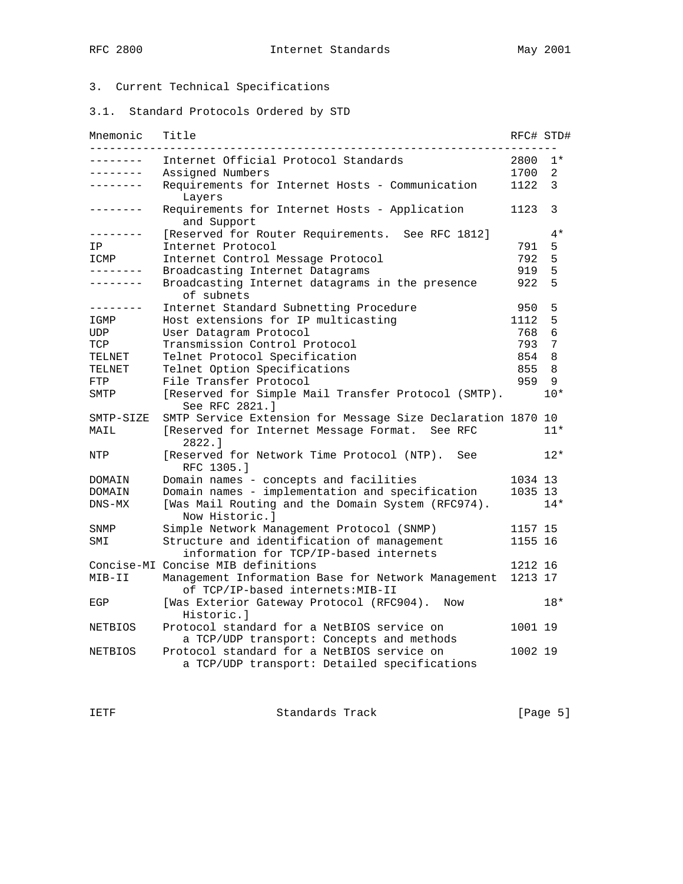# 3. Current Technical Specifications

3.1. Standard Protocols Ordered by STD

| Mnemonic        | Title                                                                                      | RFC# STD# |                |
|-----------------|--------------------------------------------------------------------------------------------|-----------|----------------|
|                 | Internet Official Protocol Standards                                                       | 2800      | $1*$           |
| --------        | Assigned Numbers                                                                           | 1700      | $\overline{2}$ |
| . <u>.</u> .    | Requirements for Internet Hosts - Communication<br>Layers                                  | 1122      | 3              |
| -------         | Requirements for Internet Hosts - Application<br>and Support                               | 1123      | 3              |
| . _ _ _ _ _ _ _ | [Reserved for Router Requirements. See RFC 1812]                                           |           | $4*$           |
| ΙP              | Internet Protocol                                                                          | 791       | 5              |
| ICMP            | Internet Control Message Protocol                                                          | 792       | 5              |
| --------        | Broadcasting Internet Datagrams                                                            | 919       | 5              |
| -------         | Broadcasting Internet datagrams in the presence<br>of subnets                              | 922       | 5              |
| .               | Internet Standard Subnetting Procedure                                                     | 950       | 5              |
| IGMP            | Host extensions for IP multicasting                                                        | 1112      | 5              |
| UDP             | User Datagram Protocol                                                                     | 768       | 6              |
| TCP             | Transmission Control Protocol                                                              | 793       | 7              |
| TELNET          | Telnet Protocol Specification                                                              | 854       | 8              |
| TELNET          | Telnet Option Specifications                                                               | 855       | 8              |
| FTP             | File Transfer Protocol                                                                     | 959       | 9              |
| SMTP            | [Reserved for Simple Mail Transfer Protocol (SMTP).<br>See RFC 2821.1                      |           | $10*$          |
| SMTP-SIZE       | SMTP Service Extension for Message Size Declaration 1870 10                                |           |                |
| MAIL            | [Reserved for Internet Message Format. See RFC<br>2822.1                                   |           | $11*$          |
| NTP             | [Reserved for Network Time Protocol (NTP).<br>See<br>RFC 1305.1                            |           | $12*$          |
| DOMAIN          | Domain names - concepts and facilities                                                     | 1034 13   |                |
| DOMAIN          | Domain names - implementation and specification                                            | 1035 13   |                |
| $DNS-MX$        | [Was Mail Routing and the Domain System (RFC974).<br>Now Historic.l                        |           | $14*$          |
| SNMP            | Simple Network Management Protocol (SNMP)                                                  | 1157 15   |                |
| SMI             | Structure and identification of management<br>information for TCP/IP-based internets       | 1155 16   |                |
|                 | Concise-MI Concise MIB definitions                                                         | 1212 16   |                |
| MIB-II          | Management Information Base for Network Management<br>of TCP/IP-based internets: MIB-II    | 1213 17   |                |
| EGP             | [Was Exterior Gateway Protocol (RFC904).<br>Now<br>Historic.l                              |           | $18*$          |
| NETBIOS         | Protocol standard for a NetBIOS service on<br>a TCP/UDP transport: Concepts and methods    | 1001 19   |                |
| NETBIOS         | Protocol standard for a NetBIOS service on<br>a TCP/UDP transport: Detailed specifications | 1002 19   |                |

IETF Standards Track [Page 5]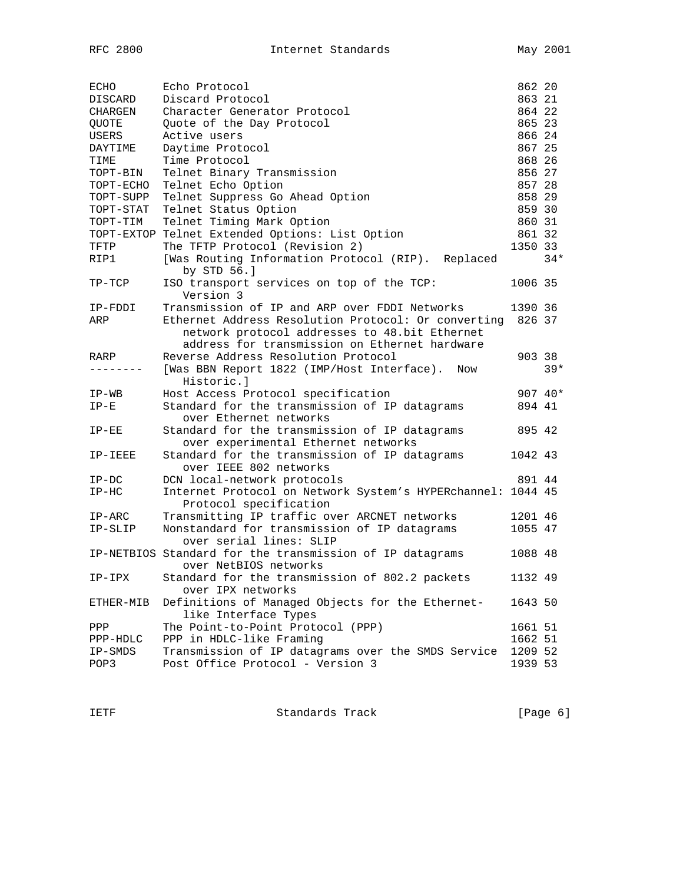| ECHO         | Echo Protocol                                                                         | 862 20  |       |
|--------------|---------------------------------------------------------------------------------------|---------|-------|
| DISCARD      | Discard Protocol                                                                      | 863 21  |       |
| CHARGEN      | Character Generator Protocol                                                          | 864 22  |       |
| <b>QUOTE</b> | Quote of the Day Protocol                                                             | 865 23  |       |
| USERS        | Active users                                                                          | 866 24  |       |
| DAYTIME      | Daytime Protocol                                                                      | 867 25  |       |
| TIME         | Time Protocol                                                                         | 868 26  |       |
| TOPT-BIN     | Telnet Binary Transmission                                                            | 856 27  |       |
| TOPT-ECHO    | Telnet Echo Option                                                                    | 857 28  |       |
| TOPT-SUPP    | Telnet Suppress Go Ahead Option                                                       | 858 29  |       |
| TOPT-STAT    | Telnet Status Option                                                                  | 859 30  |       |
| TOPT-TIM     | Telnet Timing Mark Option                                                             | 860 31  |       |
|              | TOPT-EXTOP Telnet Extended Options: List Option                                       | 861 32  |       |
| TFTP         | The TFTP Protocol (Revision 2)                                                        | 1350 33 |       |
| RIP1         | [Was Routing Information Protocol (RIP).<br>Replaced<br>by STD 56.]                   |         | $34*$ |
| TP-TCP       | ISO transport services on top of the TCP:<br>Version 3                                | 1006 35 |       |
| IP-FDDI      | Transmission of IP and ARP over FDDI Networks                                         | 1390 36 |       |
| ARP          | Ethernet Address Resolution Protocol: Or converting 826 37                            |         |       |
|              | network protocol addresses to 48.bit Ethernet                                         |         |       |
|              | address for transmission on Ethernet hardware                                         |         |       |
| RARP         | Reverse Address Resolution Protocol                                                   | 903 38  |       |
|              | [Was BBN Report 1822 (IMP/Host Interface).<br>Now<br>Historic.l                       |         | $39*$ |
| IP-WB        | Host Access Protocol specification                                                    | 907 40* |       |
| $IP-E$       | Standard for the transmission of IP datagrams<br>over Ethernet networks               | 894 41  |       |
| $IP-EE$      | Standard for the transmission of IP datagrams<br>over experimental Ethernet networks  | 895 42  |       |
| IP-IEEE      | Standard for the transmission of IP datagrams<br>over IEEE 802 networks               | 1042 43 |       |
| $IP-DC$      | DCN local-network protocols                                                           | 891 44  |       |
| $IP-HC$      | Internet Protocol on Network System's HYPERchannel: 1044 45<br>Protocol specification |         |       |
| $IP-ARC$     | Transmitting IP traffic over ARCNET networks                                          | 1201 46 |       |
| IP-SLIP      | Nonstandard for transmission of IP datagrams<br>over serial lines: SLIP               | 1055 47 |       |
|              | IP-NETBIOS Standard for the transmission of IP datagrams<br>over NetBIOS networks     | 1088 48 |       |
| $IP-IPX$     | Standard for the transmission of 802.2 packets<br>over IPX networks                   | 1132 49 |       |
| ETHER-MIB    | Definitions of Managed Objects for the Ethernet-<br>like Interface Types              | 1643 50 |       |
| PPP          | The Point-to-Point Protocol (PPP)                                                     | 1661 51 |       |
| PPP-HDLC     | PPP in HDLC-like Framing                                                              | 1662 51 |       |
| IP-SMDS      | Transmission of IP datagrams over the SMDS Service                                    | 1209 52 |       |
| POP3         | Post Office Protocol - Version 3                                                      | 1939 53 |       |

IETF Standards Track [Page 6]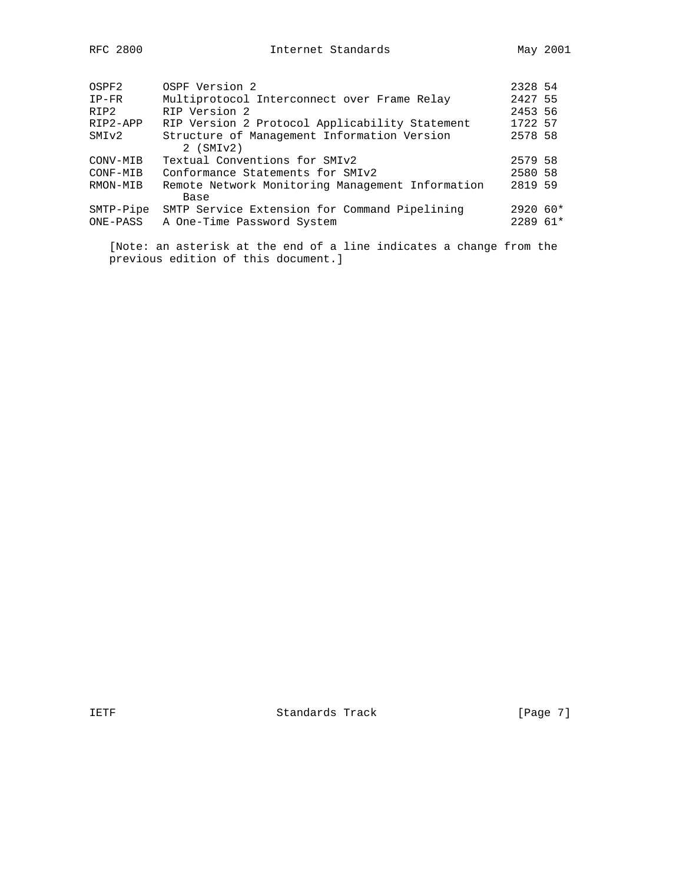| OSPF2     | OSPF Version 2                                   | 2328 54    |  |
|-----------|--------------------------------------------------|------------|--|
| $IP-FR$   | Multiprotocol Interconnect over Frame Relay      | 2427 55    |  |
| RIP2      | RIP Version 2                                    | 2453 56    |  |
| RIP2-APP  | RIP Version 2 Protocol Applicability Statement   | 1722 57    |  |
| SMIv2     | Structure of Management Information Version      | 2578 58    |  |
|           | $2$ (SMI $v2$ )                                  |            |  |
| CONV-MIB  | Textual Conventions for SMIv2                    | 2579 58    |  |
| CONF-MIB  | Conformance Statements for SMIv2                 | 2580 58    |  |
| RMON-MIB  | Remote Network Monitoring Management Information | 2819 59    |  |
|           | Base                                             |            |  |
| SMTP-Pipe | SMTP Service Extension for Command Pipelining    | $2920.60*$ |  |
| ONE-PASS  | A One-Time Password System                       | $228961*$  |  |
|           |                                                  |            |  |
|           |                                                  |            |  |

 [Note: an asterisk at the end of a line indicates a change from the previous edition of this document.]

IETF Standards Track [Page 7]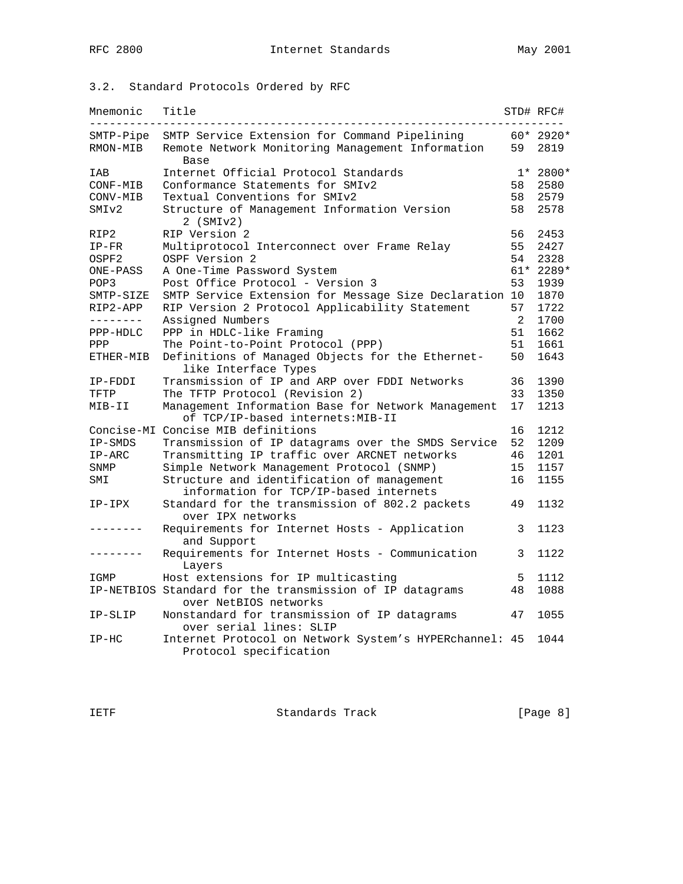# 3.2. Standard Protocols Ordered by RFC

| Mnemonic          | Title                                                                                   |                | STD# RFC#  |
|-------------------|-----------------------------------------------------------------------------------------|----------------|------------|
| SMTP-Pipe         | SMTP Service Extension for Command Pipelining                                           |                | $60*2920*$ |
| RMON-MIB          | Remote Network Monitoring Management Information<br>Base                                | 59             | 2819       |
| IAB               | Internet Official Protocol Standards                                                    |                | $1* 2800*$ |
| CONF-MIB          | Conformance Statements for SMIv2                                                        | 58             | 2580       |
| CONV-MIB          | Textual Conventions for SMIv2                                                           | 58             | 2579       |
| SMI <sub>v2</sub> | Structure of Management Information Version<br>$2$ (SMI $v2$ )                          | 58             | 2578       |
| RIP2              | RIP Version 2                                                                           | 56             | 2453       |
| $IP-FR$           | Multiprotocol Interconnect over Frame Relay                                             | 55             | 2427       |
| OSPF2             | OSPF Version 2                                                                          | 54             | 2328       |
| ONE-PASS          | A One-Time Password System                                                              |                | 61* 2289*  |
| POP3              | Post Office Protocol - Version 3                                                        | 53             | 1939       |
| SMTP-SIZE         | SMTP Service Extension for Message Size Declaration 10                                  |                | 1870       |
| RIP2-APP          | RIP Version 2 Protocol Applicability Statement                                          | 57             | 1722       |
| --------          | Assigned Numbers                                                                        | $\overline{2}$ | 1700       |
| PPP-HDLC          | PPP in HDLC-like Framing                                                                | 51             | 1662       |
| PPP               | The Point-to-Point Protocol (PPP)                                                       | 51             | 1661       |
| ETHER-MIB         | Definitions of Managed Objects for the Ethernet-<br>like Interface Types                | 50             | 1643       |
| IP-FDDI           | Transmission of IP and ARP over FDDI Networks                                           | 36             | 1390       |
| TFTP              | The TFTP Protocol (Revision 2)                                                          | 33             | 1350       |
| MIB-II            | Management Information Base for Network Management<br>of TCP/IP-based internets: MIB-II | 17             | 1213       |
|                   | Concise-MI Concise MIB definitions                                                      | 16             | 1212       |
| IP-SMDS           | Transmission of IP datagrams over the SMDS Service                                      | 52             | 1209       |
| $IP-ARC$          | Transmitting IP traffic over ARCNET networks                                            | 46             | 1201       |
| SNMP              | Simple Network Management Protocol (SNMP)                                               | 15             | 1157       |
| SMI               | Structure and identification of management                                              | 16             | 1155       |
|                   | information for TCP/IP-based internets                                                  |                |            |
| IP-IPX            | Standard for the transmission of 802.2 packets<br>over IPX networks                     | 49             | 1132       |
|                   | Requirements for Internet Hosts - Application<br>and Support                            | 3              | 1123       |
|                   | Requirements for Internet Hosts - Communication<br>Layers                               | 3              | 1122       |
| IGMP              | Host extensions for IP multicasting                                                     | 5              | 1112       |
|                   | IP-NETBIOS Standard for the transmission of IP datagrams<br>over NetBIOS networks       | 48             | 1088       |
| IP-SLIP           | Nonstandard for transmission of IP datagrams<br>over serial lines: SLIP                 | 47             | 1055       |
| $IP-HC$           | Internet Protocol on Network System's HYPERchannel: 45<br>Protocol specification        |                | 1044       |
|                   |                                                                                         |                |            |

IETF Standards Track [Page 8]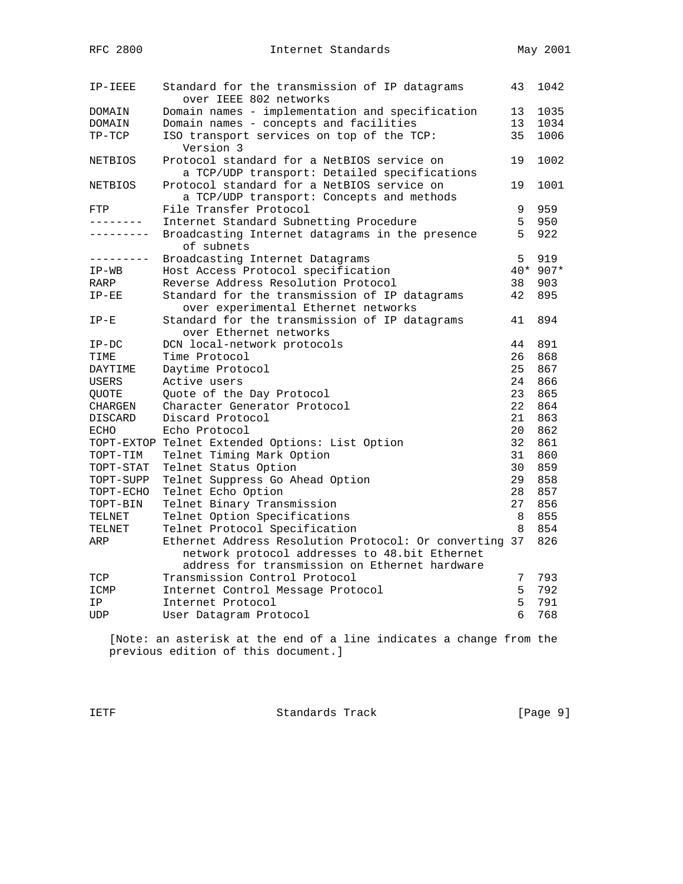| IP-IEEE           | Standard for the transmission of IP datagrams<br>over IEEE 802 networks              | 43              | 1042     |
|-------------------|--------------------------------------------------------------------------------------|-----------------|----------|
| DOMAIN            | Domain names - implementation and specification                                      | 13              | 1035     |
| DOMAIN            | Domain names - concepts and facilities                                               | 13              | 1034     |
| $TP-TCP$          | ISO transport services on top of the TCP:                                            | 35              | 1006     |
|                   | Version 3                                                                            |                 |          |
| <b>NETBIOS</b>    | Protocol standard for a NetBIOS service on                                           | 19              | 1002     |
|                   | a TCP/UDP transport: Detailed specifications                                         |                 |          |
| <b>NETBIOS</b>    | Protocol standard for a NetBIOS service on                                           | 19              | 1001     |
|                   | a TCP/UDP transport: Concepts and methods                                            |                 |          |
| FTP               | File Transfer Protocol                                                               | 9               | 959      |
| --------          | Internet Standard Subnetting Procedure                                               | 5               | 950      |
| $- - - - - - - -$ | Broadcasting Internet datagrams in the presence<br>of subnets                        | 5               | 922      |
| ---------         |                                                                                      | 5               | 919      |
|                   | Broadcasting Internet Datagrams                                                      |                 | 40* 907* |
| $IP-WB$           | Host Access Protocol specification<br>Reverse Address Resolution Protocol            | 38              | 903      |
| RARP              |                                                                                      |                 |          |
| $IP-EE$           | Standard for the transmission of IP datagrams<br>over experimental Ethernet networks | 42              | 895      |
| $IP-E$            | Standard for the transmission of IP datagrams                                        | 41              | 894      |
|                   | over Ethernet networks                                                               |                 |          |
| $IP-DC$           | DCN local-network protocols                                                          | 44              | 891      |
| TIME              | Time Protocol                                                                        | 26              | 868      |
| DAYTIME           | Daytime Protocol                                                                     | 25              | 867      |
| USERS             | Active users                                                                         | 24              | 866      |
| QUOTE             | Quote of the Day Protocol                                                            | 23              | 865      |
| CHARGEN           | Character Generator Protocol                                                         | 22              | 864      |
| <b>DISCARD</b>    | Discard Protocol                                                                     | 21              | 863      |
| <b>ECHO</b>       | Echo Protocol                                                                        | 20 <sup>°</sup> | 862      |
|                   | TOPT-EXTOP Telnet Extended Options: List Option                                      | 32 <sup>°</sup> | 861      |
| TOPT-TIM          | Telnet Timing Mark Option                                                            | 31              | 860      |
| TOPT-STAT         | Telnet Status Option                                                                 | 30              | 859      |
| TOPT-SUPP         | Telnet Suppress Go Ahead Option                                                      | 29              | 858      |
| TOPT-ECHO         | Telnet Echo Option                                                                   | 28              | 857      |
| TOPT-BIN          | Telnet Binary Transmission                                                           | 27              | 856      |
| TELNET            | Telnet Option Specifications                                                         | 8               | 855      |
| TELNET            | Telnet Protocol Specification                                                        | 8               | 854      |
| ARP               | Ethernet Address Resolution Protocol: Or converting 37                               |                 | 826      |
|                   | network protocol addresses to 48.bit Ethernet                                        |                 |          |
|                   | address for transmission on Ethernet hardware                                        |                 |          |
| TCP               | Transmission Control Protocol                                                        | 7               | 793      |
| ICMP              | Internet Control Message Protocol                                                    | 5               | 792      |
| ΙP                | Internet Protocol                                                                    | 5               | 791      |
| UDP               | User Datagram Protocol                                                               | 6               | 768      |

 [Note: an asterisk at the end of a line indicates a change from the previous edition of this document.]

IETF Standards Track [Page 9]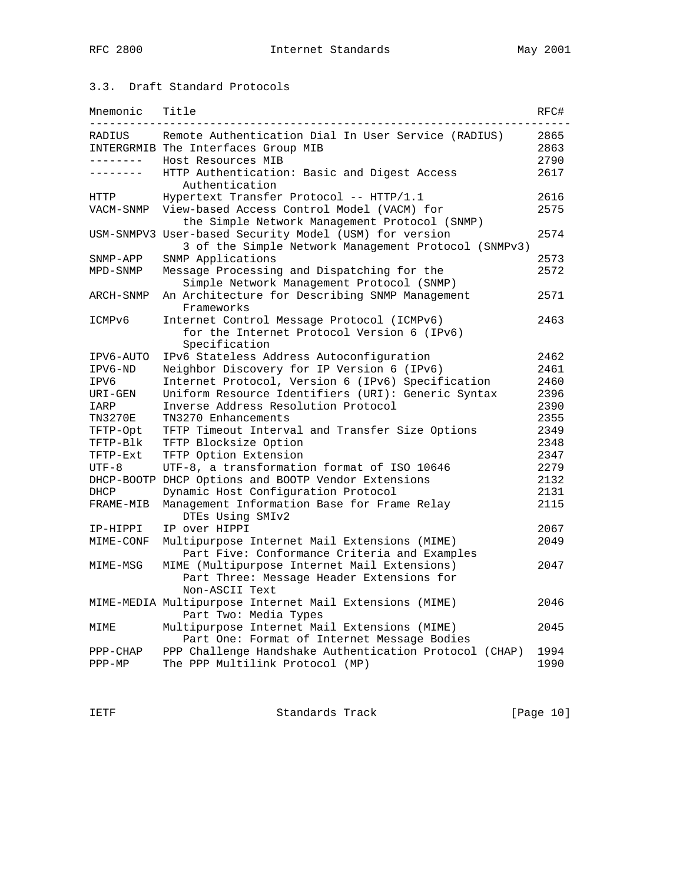## 3.3. Draft Standard Protocols

| Mnemonic       | Title                                                                                                          | RFC# |
|----------------|----------------------------------------------------------------------------------------------------------------|------|
| RADIUS         | Remote Authentication Dial In User Service (RADIUS)                                                            | 2865 |
|                | INTERGRMIB The Interfaces Group MIB                                                                            | 2863 |
| . <u>.</u> .   | Host Resources MIB                                                                                             | 2790 |
|                | HTTP Authentication: Basic and Digest Access<br>Authentication                                                 | 2617 |
| HTTP           | Hypertext Transfer Protocol -- HTTP/1.1                                                                        | 2616 |
| VACM-SNMP      | View-based Access Control Model (VACM) for<br>the Simple Network Management Protocol (SNMP)                    | 2575 |
|                | USM-SNMPV3 User-based Security Model (USM) for version<br>3 of the Simple Network Management Protocol (SNMPv3) | 2574 |
| SNMP-APP       | SNMP Applications                                                                                              | 2573 |
| MPD-SNMP       | Message Processing and Dispatching for the                                                                     | 2572 |
|                | Simple Network Management Protocol (SNMP)                                                                      |      |
| ARCH-SNMP      | An Architecture for Describing SNMP Management<br>Frameworks                                                   | 2571 |
| ICMPv6         | Internet Control Message Protocol (ICMPv6)                                                                     | 2463 |
|                | for the Internet Protocol Version 6 (IPv6)<br>Specification                                                    |      |
| IPV6-AUTO      | IPv6 Stateless Address Autoconfiguration                                                                       | 2462 |
| IPV6-ND        | Neighbor Discovery for IP Version 6 (IPv6)                                                                     | 2461 |
| IPV6           | Internet Protocol, Version 6 (IPv6) Specification                                                              | 2460 |
| URI-GEN        | Uniform Resource Identifiers (URI): Generic Syntax                                                             | 2396 |
| IARP           | Inverse Address Resolution Protocol                                                                            | 2390 |
| <b>TN3270E</b> | TN3270 Enhancements                                                                                            | 2355 |
| TFTP-Opt       | TFTP Timeout Interval and Transfer Size Options                                                                | 2349 |
| TFTP-Blk       | TFTP Blocksize Option                                                                                          | 2348 |
| TFTP-Ext       | TFTP Option Extension                                                                                          | 2347 |
| $UTF-8$        | UTF-8, a transformation format of ISO 10646                                                                    | 2279 |
|                | DHCP-BOOTP DHCP Options and BOOTP Vendor Extensions                                                            | 2132 |
| DHCP           | Dynamic Host Configuration Protocol                                                                            | 2131 |
| FRAME-MIB      | Management Information Base for Frame Relay<br>DTES Using SMIv2                                                | 2115 |
| IP-HIPPI       | IP over HIPPI                                                                                                  | 2067 |
| MIME-CONF      | Multipurpose Internet Mail Extensions (MIME)<br>Part Five: Conformance Criteria and Examples                   | 2049 |
| MIME-MSG       | MIME (Multipurpose Internet Mail Extensions)<br>Part Three: Message Header Extensions for<br>Non-ASCII Text    | 2047 |
|                | MIME-MEDIA Multipurpose Internet Mail Extensions (MIME)<br>Part Two: Media Types                               | 2046 |
| MIME           | Multipurpose Internet Mail Extensions (MIME)<br>Part One: Format of Internet Message Bodies                    | 2045 |
| $PPP-CHAP$     | PPP Challenge Handshake Authentication Protocol (CHAP)                                                         | 1994 |
| $PPP-MP$       | The PPP Multilink Protocol (MP)                                                                                | 1990 |

IETF Standards Track [Page 10]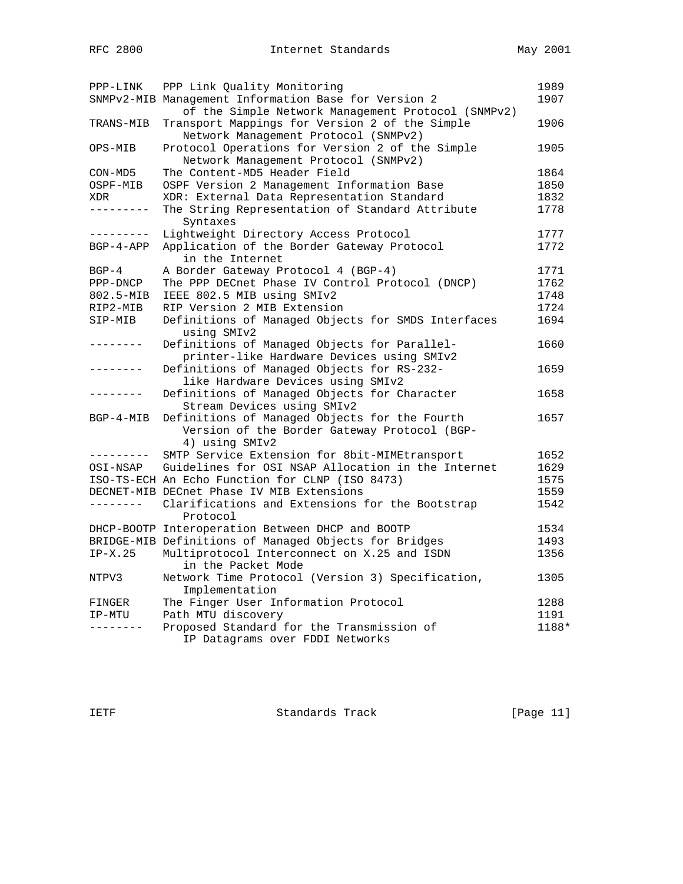| PPP-LINK            | PPP Link Quality Monitoring                           | 1989  |
|---------------------|-------------------------------------------------------|-------|
|                     | SNMPv2-MIB Management Information Base for Version 2  | 1907  |
|                     | of the Simple Network Management Protocol (SNMPv2)    |       |
| TRANS-MIB           | Transport Mappings for Version 2 of the Simple        | 1906  |
|                     | Network Management Protocol (SNMPv2)                  |       |
| OPS-MIB             | Protocol Operations for Version 2 of the Simple       | 1905  |
|                     | Network Management Protocol (SNMPv2)                  |       |
| CON-MD5             | The Content-MD5 Header Field                          | 1864  |
| OSPF-MIB            | OSPF Version 2 Management Information Base            | 1850  |
| XDR                 | XDR: External Data Representation Standard            | 1832  |
| _________           | The String Representation of Standard Attribute       | 1778  |
|                     | Syntaxes                                              |       |
| ---------           | Lightweight Directory Access Protocol                 | 1777  |
| BGP-4-APP           | Application of the Border Gateway Protocol            | 1772  |
|                     | in the Internet                                       |       |
| $BGP-4$             | A Border Gateway Protocol 4 (BGP-4)                   | 1771  |
| PPP-DNCP            | The PPP DECnet Phase IV Control Protocol (DNCP)       | 1762  |
| 802.5-MIB           | IEEE 802.5 MIB using SMIv2                            | 1748  |
| RIP2-MIB            | RIP Version 2 MIB Extension                           | 1724  |
| SIP-MIB             | Definitions of Managed Objects for SMDS Interfaces    | 1694  |
|                     | using SMIv2                                           |       |
| -------             | Definitions of Managed Objects for Parallel-          | 1660  |
|                     | printer-like Hardware Devices using SMIv2             |       |
|                     | Definitions of Managed Objects for RS-232-            | 1659  |
|                     | like Hardware Devices using SMIv2                     |       |
|                     | Definitions of Managed Objects for Character          | 1658  |
|                     | Stream Devices using SMIv2                            |       |
| BGP-4-MIB           | Definitions of Managed Objects for the Fourth         | 1657  |
|                     | Version of the Border Gateway Protocol (BGP-          |       |
|                     | 4) using SMIv2                                        |       |
| $- - - - - - - - -$ | SMTP Service Extension for 8bit-MIMEtransport         | 1652  |
| OSI-NSAP            | Guidelines for OSI NSAP Allocation in the Internet    | 1629  |
|                     | ISO-TS-ECH An Echo Function for CLNP (ISO 8473)       | 1575  |
|                     | DECNET-MIB DECnet Phase IV MIB Extensions             | 1559  |
| --------            | Clarifications and Extensions for the Bootstrap       | 1542  |
|                     | Protocol                                              |       |
|                     | DHCP-BOOTP Interoperation Between DHCP and BOOTP      | 1534  |
|                     | BRIDGE-MIB Definitions of Managed Objects for Bridges | 1493  |
| $IP-X.25$           | Multiprotocol Interconnect on X.25 and ISDN           | 1356  |
|                     | in the Packet Mode                                    |       |
| NTPV3               | Network Time Protocol (Version 3) Specification,      | 1305  |
|                     | Implementation                                        |       |
| FINGER              | The Finger User Information Protocol                  | 1288  |
| IP-MTU              | Path MTU discovery                                    | 1191  |
| --------            | Proposed Standard for the Transmission of             | 1188* |
|                     |                                                       |       |
|                     | IP Datagrams over FDDI Networks                       |       |

IETF Standards Track [Page 11]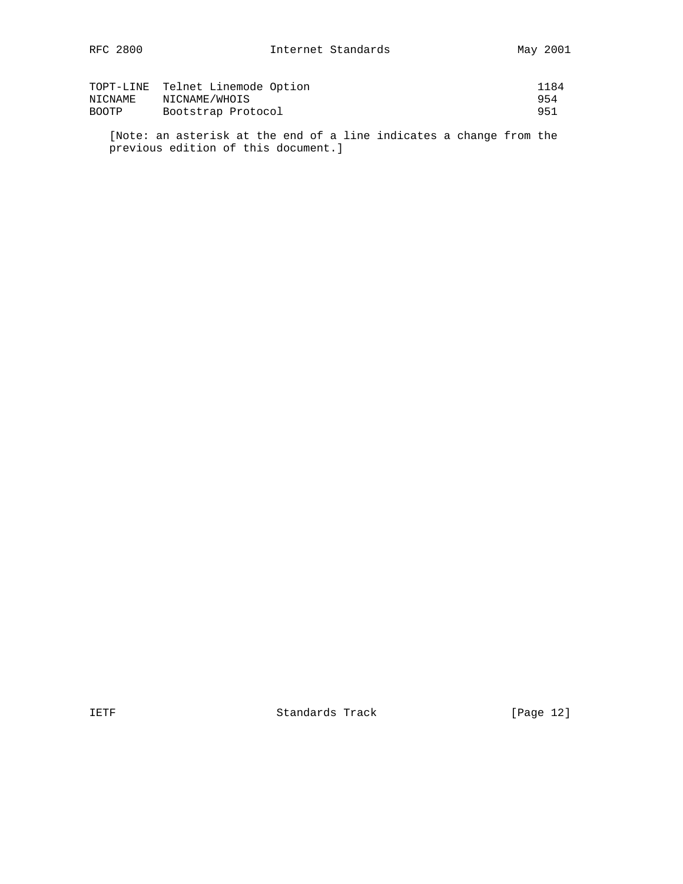|         | TOPT-LINE Telnet Linemode Option | 1184 |
|---------|----------------------------------|------|
| NICNAME | NICNAME/WHOIS                    | 954  |
| BOOTP   | Bootstrap Protocol               | 951  |

 [Note: an asterisk at the end of a line indicates a change from the previous edition of this document.]

IETF Standards Track [Page 12]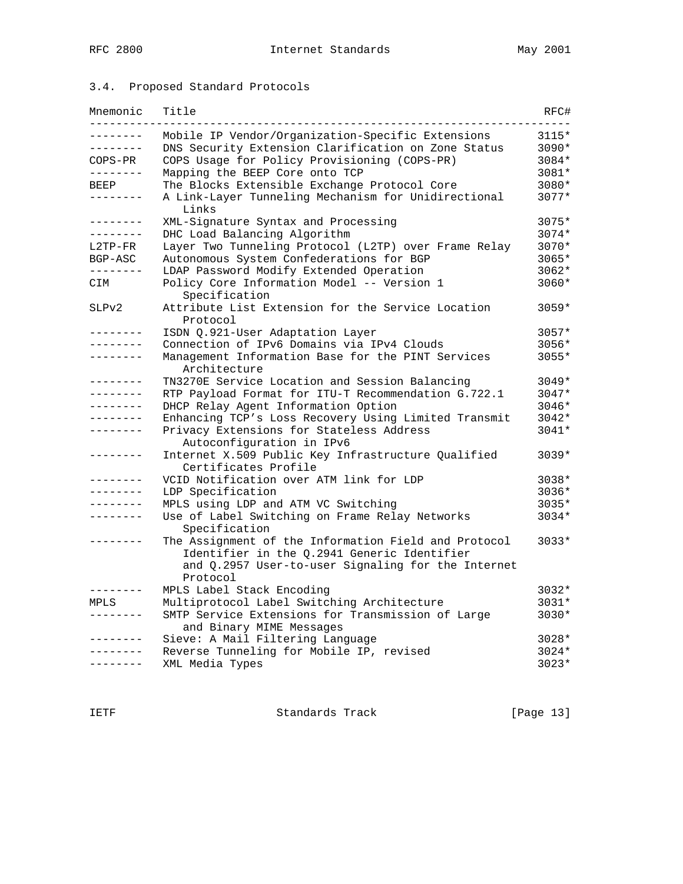# 3.4. Proposed Standard Protocols

| Mnemonic        | Title                                                                                                                                                     | RFC#    |
|-----------------|-----------------------------------------------------------------------------------------------------------------------------------------------------------|---------|
|                 | Mobile IP Vendor/Organization-Specific Extensions                                                                                                         | 3115*   |
| --------        | DNS Security Extension Clarification on Zone Status                                                                                                       | 3090*   |
| COPS-PR         | COPS Usage for Policy Provisioning (COPS-PR)                                                                                                              | 3084*   |
| --------        | Mapping the BEEP Core onto TCP                                                                                                                            | 3081*   |
| BEEP            | The Blocks Extensible Exchange Protocol Core                                                                                                              | 3080*   |
| .               | A Link-Layer Tunneling Mechanism for Unidirectional<br>Links                                                                                              | $3077*$ |
| .               | XML-Signature Syntax and Processing                                                                                                                       | 3075*   |
| . _ _ _ _ _ _ _ | DHC Load Balancing Algorithm                                                                                                                              | $3074*$ |
| L2TP-FR         | Layer Two Tunneling Protocol (L2TP) over Frame Relay                                                                                                      | $3070*$ |
| BGP-ASC         | Autonomous System Confederations for BGP                                                                                                                  | $3065*$ |
| .               | LDAP Password Modify Extended Operation                                                                                                                   | $3062*$ |
| CIM             | Policy Core Information Model -- Version 1<br>Specification                                                                                               | $3060*$ |
| SLPv2           | Attribute List Extension for the Service Location<br>Protocol                                                                                             | $3059*$ |
| -------         | ISDN Q.921-User Adaptation Layer                                                                                                                          | 3057*   |
|                 | Connection of IPv6 Domains via IPv4 Clouds                                                                                                                | $3056*$ |
|                 | Management Information Base for the PINT Services<br>Architecture                                                                                         | 3055*   |
| .               | TN3270E Service Location and Session Balancing                                                                                                            | $3049*$ |
| --------        | RTP Payload Format for ITU-T Recommendation G.722.1                                                                                                       | 3047*   |
| .               | DHCP Relay Agent Information Option                                                                                                                       | $3046*$ |
|                 | Enhancing TCP's Loss Recovery Using Limited Transmit                                                                                                      | $3042*$ |
| . _ _ _ _ _ _ _ | Privacy Extensions for Stateless Address                                                                                                                  | 3041*   |
|                 | Autoconfiguration in IPv6                                                                                                                                 |         |
| -------         | Internet X.509 Public Key Infrastructure Qualified<br>Certificates Profile                                                                                | 3039*   |
| . _ _ _ _ _ _ _ | VCID Notification over ATM link for LDP                                                                                                                   | 3038*   |
| .               | LDP Specification                                                                                                                                         | 3036*   |
|                 | MPLS using LDP and ATM VC Switching                                                                                                                       | $3035*$ |
| . _ _ _ _ _ _ _ | Use of Label Switching on Frame Relay Networks<br>Specification                                                                                           | $3034*$ |
|                 | The Assignment of the Information Field and Protocol<br>Identifier in the Q.2941 Generic Identifier<br>and Q.2957 User-to-user Signaling for the Internet | 3033*   |
|                 | Protocol                                                                                                                                                  |         |
|                 | MPLS Label Stack Encoding                                                                                                                                 | 3032*   |
| MPLS            | Multiprotocol Label Switching Architecture                                                                                                                | $3031*$ |
|                 | SMTP Service Extensions for Transmission of Large<br>and Binary MIME Messages                                                                             | $3030*$ |
|                 | Sieve: A Mail Filtering Language                                                                                                                          | $3028*$ |
|                 | Reverse Tunneling for Mobile IP, revised                                                                                                                  | $3024*$ |
| --------        | XML Media Types                                                                                                                                           | 3023*   |

IETF Standards Track [Page 13]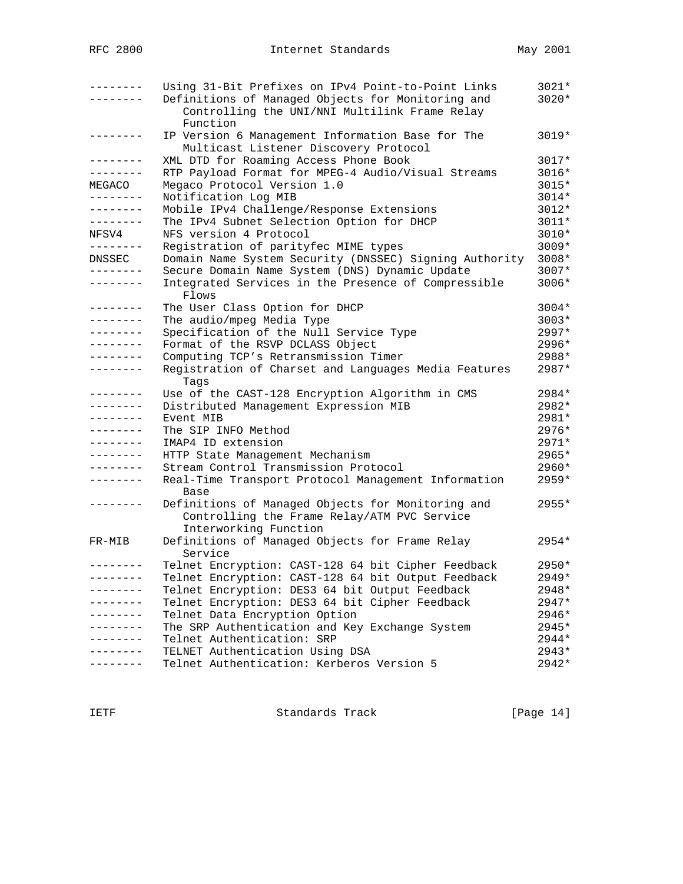| --------            | Using 31-Bit Prefixes on IPv4 Point-to-Point Links<br>Definitions of Managed Objects for Monitoring and | $3021*$<br>$3020*$ |
|---------------------|---------------------------------------------------------------------------------------------------------|--------------------|
|                     | Controlling the UNI/NNI Multilink Frame Relay<br>Function                                               |                    |
| $- - - - - - - - -$ | IP Version 6 Management Information Base for The<br>Multicast Listener Discovery Protocol               | 3019*              |
| --------            | XML DTD for Roaming Access Phone Book                                                                   | $3017*$            |
| --------            | RTP Payload Format for MPEG-4 Audio/Visual Streams                                                      | $3016*$            |
| MEGACO              | Megaco Protocol Version 1.0                                                                             | $3015*$            |
| .                   | Notification Log MIB                                                                                    | $3014*$            |
| --------            | Mobile IPv4 Challenge/Response Extensions                                                               | $3012*$            |
| --------            | The IPv4 Subnet Selection Option for DHCP                                                               | $3011*$            |
| NFSV4               | NFS version 4 Protocol                                                                                  | 3010*              |
| --------            | Registration of parityfec MIME types                                                                    | $3009*$            |
| DNSSEC              | Domain Name System Security (DNSSEC) Signing Authority                                                  | 3008*              |
| . _ _ _ _ _ _ _     | Secure Domain Name System (DNS) Dynamic Update                                                          | 3007*              |
| . - - - - - - -     | Integrated Services in the Presence of Compressible<br>Flows                                            | 3006*              |
| --------            | The User Class Option for DHCP                                                                          | $3004*$            |
| --------            | The audio/mpeg Media Type                                                                               | $3003*$            |
| --------            | Specification of the Null Service Type                                                                  | 2997*              |
|                     | Format of the RSVP DCLASS Object                                                                        | 2996*              |
| --------            | Computing TCP's Retransmission Timer                                                                    | 2988*              |
| --------            | Registration of Charset and Languages Media Features                                                    | 2987*              |
|                     | Taqs                                                                                                    |                    |
| --------            | Use of the CAST-128 Encryption Algorithm in CMS                                                         | 2984*              |
| .                   | Distributed Management Expression MIB                                                                   | 2982*              |
|                     | Event MIB                                                                                               | 2981*              |
| . – – – – – – –     | The SIP INFO Method                                                                                     | $2976*$            |
| --------            | IMAP4 ID extension                                                                                      | $2971*$            |
| --------            | HTTP State Management Mechanism                                                                         | 2965*              |
| . <u>.</u>          | Stream Control Transmission Protocol                                                                    | 2960*              |
| ---------           | Real-Time Transport Protocol Management Information                                                     | 2959*              |
| --------            | Base                                                                                                    | $2955*$            |
|                     | Definitions of Managed Objects for Monitoring and                                                       |                    |
|                     | Controlling the Frame Relay/ATM PVC Service                                                             |                    |
| FR-MIB              | Interworking Function<br>Definitions of Managed Objects for Frame Relay                                 | $2954*$            |
|                     | Service                                                                                                 |                    |
| --------            | Telnet Encryption: CAST-128 64 bit Cipher Feedback                                                      | $2950*$            |
|                     | Telnet Encryption: CAST-128 64 bit Output Feedback                                                      | 2949*              |
| --------            | Telnet Encryption: DES3 64 bit Output Feedback                                                          | 2948*              |
|                     | Telnet Encryption: DES3 64 bit Cipher Feedback                                                          | 2947*              |
| . – – – – – – –     | Telnet Data Encryption Option                                                                           | 2946*              |
|                     | The SRP Authentication and Key Exchange System                                                          | 2945*              |
|                     | Telnet Authentication: SRP                                                                              | 2944*              |
|                     | TELNET Authentication Using DSA                                                                         | 2943*              |
|                     | Telnet Authentication: Kerberos Version 5                                                               | 2942*              |
|                     |                                                                                                         |                    |

IETF Standards Track [Page 14]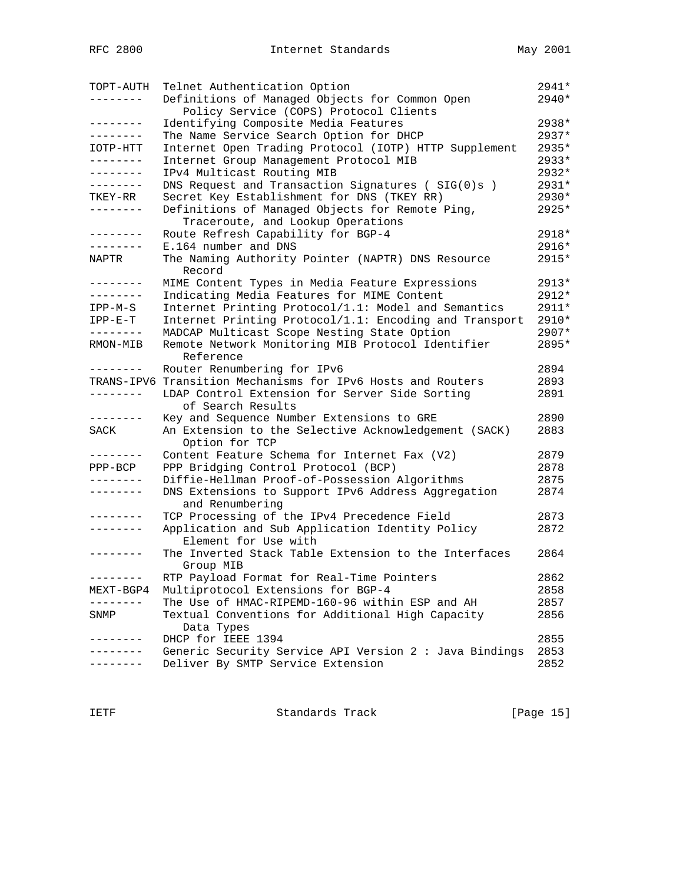| TOPT-AUTH         | Telnet Authentication Option                                           | 2941*   |
|-------------------|------------------------------------------------------------------------|---------|
|                   | Definitions of Managed Objects for Common Open                         | $2940*$ |
|                   | Policy Service (COPS) Protocol Clients                                 |         |
| --------          | Identifying Composite Media Features                                   | $2938*$ |
| --------          | The Name Service Search Option for DHCP                                | $2937*$ |
| IOTP-HTT          | Internet Open Trading Protocol (IOTP) HTTP Supplement                  | 2935*   |
| --------          | Internet Group Management Protocol MIB                                 | 2933*   |
| --------          | IPv4 Multicast Routing MIB                                             | $2932*$ |
| --------          | DNS Request and Transaction Signatures (SIG(0)s)                       | 2931*   |
| TKEY-RR           | Secret Key Establishment for DNS (TKEY RR)                             | 2930*   |
| . <u>.</u> .      | Definitions of Managed Objects for Remote Ping,                        | 2925*   |
|                   | Traceroute, and Lookup Operations                                      |         |
| --------          | Route Refresh Capability for BGP-4                                     | 2918*   |
| --------          | E.164 number and DNS                                                   | 2916*   |
| NAPTR             | The Naming Authority Pointer (NAPTR) DNS Resource                      | 2915*   |
|                   | Record                                                                 |         |
| $- - - - - - - -$ | MIME Content Types in Media Feature Expressions                        | 2913*   |
| --------          | Indicating Media Features for MIME Content                             | $2912*$ |
| $IPP-M-S$         | Internet Printing Protocol/1.1: Model and Semantics                    | 2911*   |
| $IPP-E-T$         | Internet Printing Protocol/1.1: Encoding and Transport                 | 2910*   |
| --------          | MADCAP Multicast Scope Nesting State Option                            | $2907*$ |
| RMON-MIB          | Remote Network Monitoring MIB Protocol Identifier<br>Reference         | 2895*   |
| . _ _ _ _ _ _ _   | Router Renumbering for IPv6                                            | 2894    |
|                   | TRANS-IPV6 Transition Mechanisms for IPv6 Hosts and Routers            | 2893    |
|                   | LDAP Control Extension for Server Side Sorting                         | 2891    |
|                   | of Search Results                                                      |         |
| --------          | Key and Sequence Number Extensions to GRE                              | 2890    |
| SACK              | An Extension to the Selective Acknowledgement (SACK)<br>Option for TCP | 2883    |
| --------          | Content Feature Schema for Internet Fax (V2)                           | 2879    |
| $PPP-BCP$         | PPP Bridging Control Protocol (BCP)                                    | 2878    |
| . <u>.</u>        | Diffie-Hellman Proof-of-Possession Algorithms                          | 2875    |
| --------          | DNS Extensions to Support IPv6 Address Aggregation<br>and Renumbering  | 2874    |
| .                 | TCP Processing of the IPv4 Precedence Field                            | 2873    |
| --------          | Application and Sub Application Identity Policy                        | 2872    |
|                   | Element for Use with                                                   |         |
|                   | The Inverted Stack Table Extension to the Interfaces                   | 2864    |
|                   | Group MIB                                                              |         |
| . – – – – – – –   | RTP Payload Format for Real-Time Pointers                              | 2862    |
| MEXT-BGP4         | Multiprotocol Extensions for BGP-4                                     | 2858    |
|                   | The Use of HMAC-RIPEMD-160-96 within ESP and AH                        | 2857    |
| SNMP              | Textual Conventions for Additional High Capacity                       | 2856    |
|                   | Data Types                                                             |         |
| -------           | DHCP for IEEE 1394                                                     | 2855    |
|                   | Generic Security Service API Version 2 : Java Bindings                 | 2853    |
|                   | Deliver By SMTP Service Extension                                      | 2852    |
|                   |                                                                        |         |

IETF Standards Track [Page 15]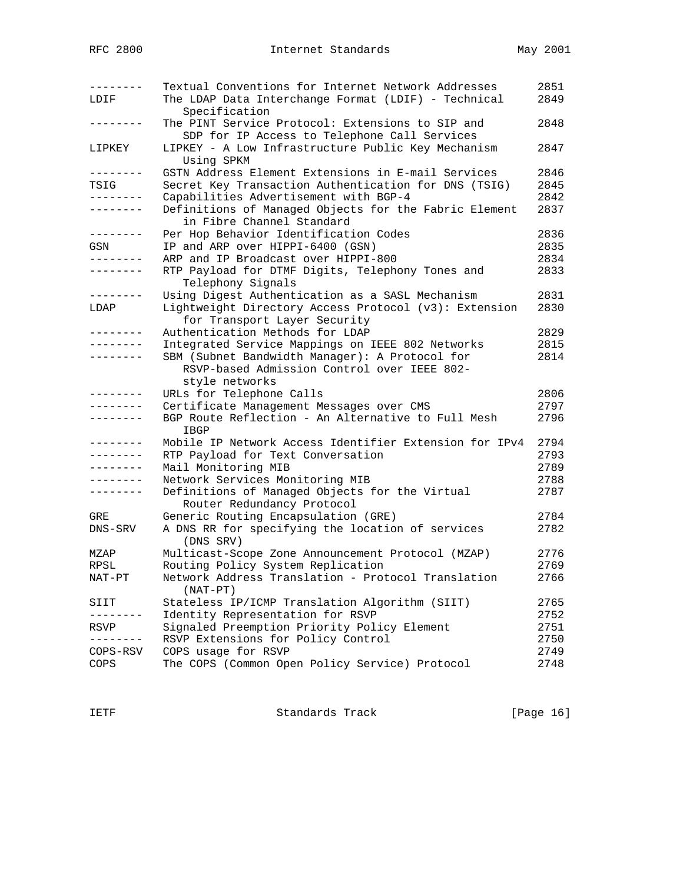| --------<br>LDIF | Textual Conventions for Internet Network Addresses<br>The LDAP Data Interchange Format (LDIF) - Technical         | 2851<br>2849 |
|------------------|-------------------------------------------------------------------------------------------------------------------|--------------|
|                  | Specification<br>The PINT Service Protocol: Extensions to SIP and<br>SDP for IP Access to Telephone Call Services | 2848         |
| LIPKEY           | LIPKEY - A Low Infrastructure Public Key Mechanism<br>Using SPKM                                                  | 2847         |
| --------         | GSTN Address Element Extensions in E-mail Services                                                                | 2846         |
| TSIG             | Secret Key Transaction Authentication for DNS (TSIG)                                                              | 2845         |
| --------         | Capabilities Advertisement with BGP-4                                                                             | 2842         |
| --------         | Definitions of Managed Objects for the Fabric Element<br>in Fibre Channel Standard                                | 2837         |
| ---------        | Per Hop Behavior Identification Codes                                                                             | 2836         |
| GSN              | IP and ARP over HIPPI-6400 (GSN)                                                                                  | 2835         |
| . <u>.</u> .     | ARP and IP Broadcast over HIPPI-800                                                                               | 2834         |
| --------         | RTP Payload for DTMF Digits, Telephony Tones and<br>Telephony Signals                                             | 2833         |
| --------         | Using Digest Authentication as a SASL Mechanism                                                                   | 2831         |
| LDAP             | Lightweight Directory Access Protocol (v3): Extension<br>for Transport Layer Security                             | 2830         |
|                  | Authentication Methods for LDAP                                                                                   | 2829         |
| --------         | Integrated Service Mappings on IEEE 802 Networks                                                                  | 2815         |
| --------         | SBM (Subnet Bandwidth Manager): A Protocol for<br>RSVP-based Admission Control over IEEE 802-                     | 2814         |
|                  | style networks                                                                                                    |              |
|                  | URLs for Telephone Calls                                                                                          | 2806         |
| .                | Certificate Management Messages over CMS                                                                          | 2797         |
| . <u>.</u>       | BGP Route Reflection - An Alternative to Full Mesh<br>IBGP                                                        | 2796         |
| - - - - - - - -  | Mobile IP Network Access Identifier Extension for IPv4                                                            | 2794         |
| --------         | RTP Payload for Text Conversation                                                                                 | 2793         |
| --------         | Mail Monitoring MIB                                                                                               | 2789         |
|                  | Network Services Monitoring MIB                                                                                   | 2788         |
| --------         | Definitions of Managed Objects for the Virtual<br>Router Redundancy Protocol                                      | 2787         |
| GRE              | Generic Routing Encapsulation (GRE)                                                                               | 2784         |
| DNS-SRV          | A DNS RR for specifying the location of services<br>(DNS SRV)                                                     | 2782         |
| MZAP             | Multicast-Scope Zone Announcement Protocol (MZAP)                                                                 | 2776         |
| RPSL             | Routing Policy System Replication                                                                                 | 2769         |
| NAT-PT           | Network Address Translation - Protocol Translation<br>$(NAT-PT)$                                                  | 2766         |
| SIIT             | Stateless IP/ICMP Translation Algorithm (SIIT)                                                                    | 2765         |
|                  | Identity Representation for RSVP                                                                                  | 2752         |
| RSVP             | Signaled Preemption Priority Policy Element                                                                       | 2751         |
|                  | RSVP Extensions for Policy Control                                                                                | 2750         |
| COPS-RSV         | COPS usage for RSVP                                                                                               | 2749         |
| COPS             | The COPS (Common Open Policy Service) Protocol                                                                    | 2748         |

IETF Standards Track [Page 16]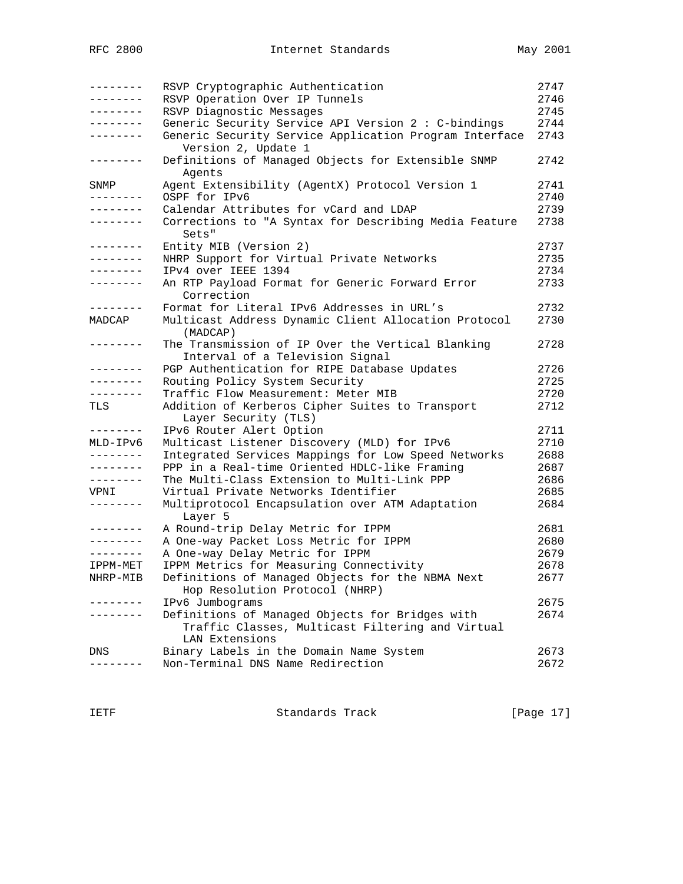| --------          | RSVP Cryptographic Authentication                                                    | 2747         |
|-------------------|--------------------------------------------------------------------------------------|--------------|
| --------          | RSVP Operation Over IP Tunnels                                                       | 2746         |
| --------          | RSVP Diagnostic Messages                                                             | 2745         |
| --------          | Generic Security Service API Version 2 : C-bindings                                  | 2744         |
| --------          | Generic Security Service Application Program Interface<br>Version 2, Update 1        | 2743         |
| --------          | Definitions of Managed Objects for Extensible SNMP<br>Agents                         | 2742         |
| SNMP<br>--------  | Agent Extensibility (AgentX) Protocol Version 1<br>OSPF for IPv6                     | 2741<br>2740 |
| --------          | Calendar Attributes for vCard and LDAP                                               | 2739         |
| --------          | Corrections to "A Syntax for Describing Media Feature<br>Sets"                       | 2738         |
| --------          | Entity MIB (Version 2)                                                               | 2737         |
| --------          | NHRP Support for Virtual Private Networks                                            | 2735         |
| --------          | IPv4 over IEEE 1394                                                                  | 2734         |
| --------          | An RTP Payload Format for Generic Forward Error<br>Correction                        | 2733         |
| $- - - - - - - -$ | Format for Literal IPv6 Addresses in URL's                                           | 2732         |
| MADCAP            | Multicast Address Dynamic Client Allocation Protocol<br>(MADCAP)                     | 2730         |
| --------          | The Transmission of IP Over the Vertical Blanking<br>Interval of a Television Signal | 2728         |
|                   | PGP Authentication for RIPE Database Updates                                         | 2726         |
| --------          | Routing Policy System Security                                                       | 2725         |
| --------          | Traffic Flow Measurement: Meter MIB                                                  | 2720         |
| TLS               | Addition of Kerberos Cipher Suites to Transport<br>Layer Security (TLS)              | 2712         |
| --------          | IPv6 Router Alert Option                                                             | 2711         |
| MLD-IPv6          | Multicast Listener Discovery (MLD) for IPv6                                          | 2710         |
| --------          | Integrated Services Mappings for Low Speed Networks                                  | 2688         |
| --------          | PPP in a Real-time Oriented HDLC-like Framing                                        | 2687         |
| --------          | The Multi-Class Extension to Multi-Link PPP                                          | 2686         |
| VPNI              | Virtual Private Networks Identifier                                                  | 2685         |
| --------          | Multiprotocol Encapsulation over ATM Adaptation<br>Layer 5                           | 2684         |
| --------          | A Round-trip Delay Metric for IPPM                                                   | 2681         |
| $- - - - - - - -$ | A One-way Packet Loss Metric for IPPM                                                | 2680         |
| --------          | A One-way Delay Metric for IPPM                                                      | 2679         |
| IPPM-MET          | IPPM Metrics for Measuring Connectivity                                              | 2678         |
| NHRP-MIB          | Definitions of Managed Objects for the NBMA Next                                     | 2677         |
|                   | Hop Resolution Protocol (NHRP)                                                       |              |
|                   | IPv6 Jumbograms                                                                      | 2675         |
| $- - - -$         | Definitions of Managed Objects for Bridges with                                      | 2674         |
|                   | Traffic Classes, Multicast Filtering and Virtual<br>LAN Extensions                   |              |
| DNS               | Binary Labels in the Domain Name System                                              | 2673         |
|                   | Non-Terminal DNS Name Redirection                                                    | 2672         |
|                   |                                                                                      |              |

IETF Standards Track [Page 17]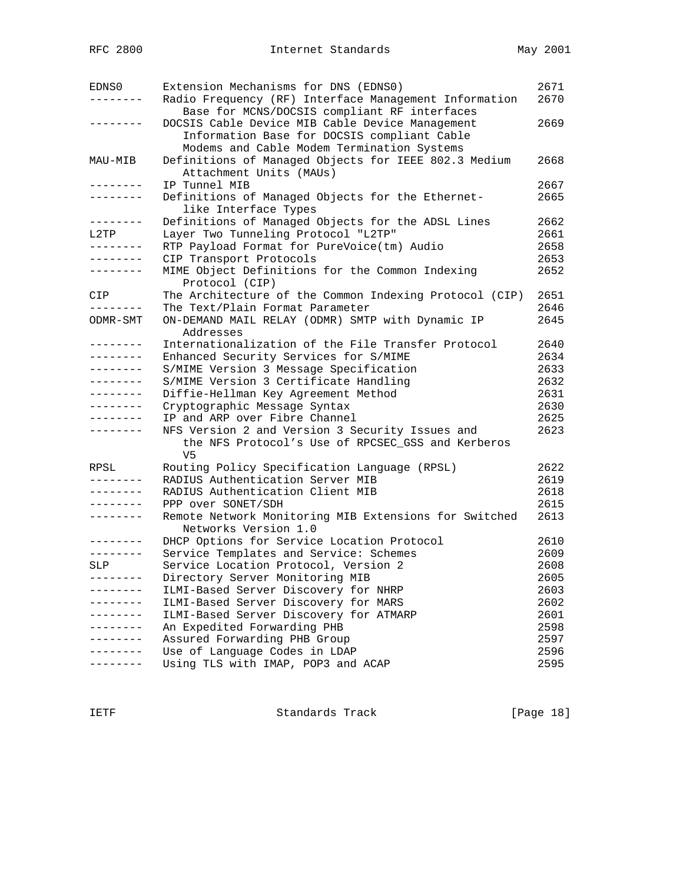| EDNS0             | Extension Mechanisms for DNS (EDNS0)                   | 2671 |
|-------------------|--------------------------------------------------------|------|
|                   | Radio Frequency (RF) Interface Management Information  | 2670 |
|                   | Base for MCNS/DOCSIS compliant RF interfaces           |      |
| $- - - - - - -$   | DOCSIS Cable Device MIB Cable Device Management        | 2669 |
|                   | Information Base for DOCSIS compliant Cable            |      |
|                   | Modems and Cable Modem Termination Systems             |      |
| MAU-MIB           | Definitions of Managed Objects for IEEE 802.3 Medium   | 2668 |
|                   | Attachment Units (MAUs)                                |      |
|                   | IP Tunnel MIB                                          | 2667 |
| --------          | Definitions of Managed Objects for the Ethernet-       | 2665 |
|                   | like Interface Types                                   |      |
| --------          | Definitions of Managed Objects for the ADSL Lines      | 2662 |
| L2TP              | Layer Two Tunneling Protocol "L2TP"                    | 2661 |
| --------          | RTP Payload Format for PureVoice(tm) Audio             | 2658 |
| $- - - - - - - -$ | CIP Transport Protocols                                | 2653 |
|                   | MIME Object Definitions for the Common Indexing        | 2652 |
|                   | Protocol (CIP)                                         |      |
| CIP               | The Architecture of the Common Indexing Protocol (CIP) | 2651 |
| --------          | The Text/Plain Format Parameter                        | 2646 |
| ODMR-SMT          | ON-DEMAND MAIL RELAY (ODMR) SMTP with Dynamic IP       | 2645 |
|                   | Addresses                                              |      |
| --------          | Internationalization of the File Transfer Protocol     | 2640 |
| --------          | Enhanced Security Services for S/MIME                  | 2634 |
| --------          | S/MIME Version 3 Message Specification                 | 2633 |
| .                 | S/MIME Version 3 Certificate Handling                  | 2632 |
| --------          | Diffie-Hellman Key Agreement Method                    | 2631 |
| . <u>.</u> .      | Cryptographic Message Syntax                           | 2630 |
| .                 | IP and ARP over Fibre Channel                          | 2625 |
| - - - - - - - -   | NFS Version 2 and Version 3 Security Issues and        | 2623 |
|                   | the NFS Protocol's Use of RPCSEC_GSS and Kerberos      |      |
|                   | V5                                                     |      |
| RPSL              | Routing Policy Specification Language (RPSL)           | 2622 |
| --------          | RADIUS Authentication Server MIB                       | 2619 |
| --------          | RADIUS Authentication Client MIB                       | 2618 |
| $- - - - - - - -$ | PPP over SONET/SDH                                     | 2615 |
| $- - - - - - - -$ | Remote Network Monitoring MIB Extensions for Switched  | 2613 |
|                   | Networks Version 1.0                                   |      |
| --------          | DHCP Options for Service Location Protocol             | 2610 |
| --------          | Service Templates and Service: Schemes                 | 2609 |
| SLP               | Service Location Protocol, Version 2                   | 2608 |
|                   | Directory Server Monitoring MIB                        | 2605 |
| --------          | ILMI-Based Server Discovery for NHRP                   | 2603 |
|                   | ILMI-Based Server Discovery for MARS                   | 2602 |
|                   | ILMI-Based Server Discovery for ATMARP                 | 2601 |
|                   | An Expedited Forwarding PHB                            | 2598 |
|                   | Assured Forwarding PHB Group                           | 2597 |
|                   | Use of Language Codes in LDAP                          | 2596 |
|                   | Using TLS with IMAP, POP3 and ACAP                     | 2595 |

IETF Standards Track [Page 18]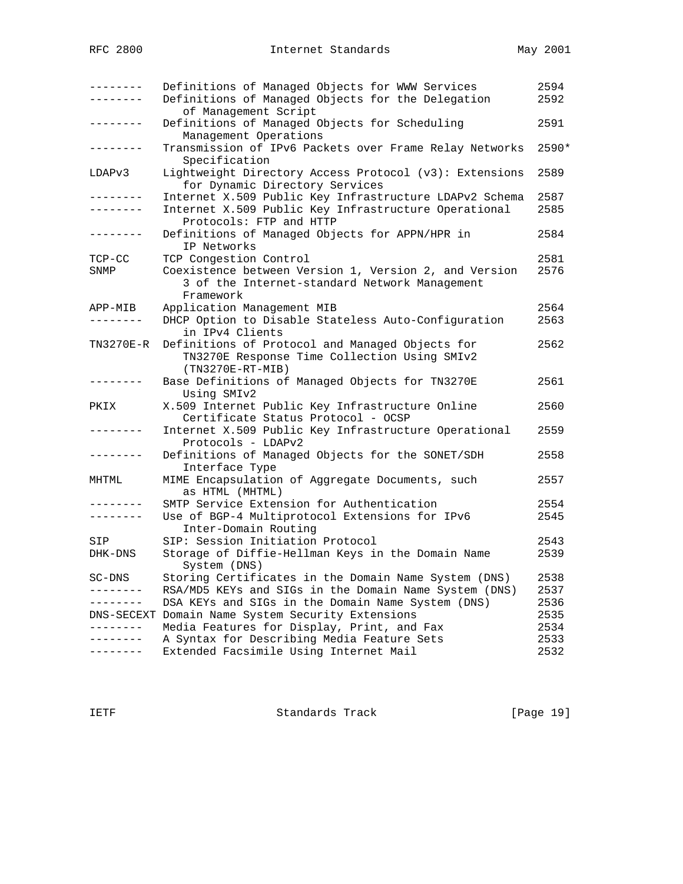| ---------<br>-------       | Definitions of Managed Objects for WWW Services<br>Definitions of Managed Objects for the Delegation                                          | 2594<br>2592 |
|----------------------------|-----------------------------------------------------------------------------------------------------------------------------------------------|--------------|
| $- - - - - - -$            | of Management Script<br>Definitions of Managed Objects for Scheduling<br>Management Operations                                                | 2591         |
| . <u>.</u> .               | Transmission of IPv6 Packets over Frame Relay Networks<br>Specification                                                                       | 2590*        |
| LDAPv3                     | Lightweight Directory Access Protocol (v3): Extensions<br>for Dynamic Directory Services                                                      | 2589         |
| -------                    | Internet X.509 Public Key Infrastructure LDAPv2 Schema<br>Internet X.509 Public Key Infrastructure Operational<br>Protocols: FTP and HTTP     | 2587<br>2585 |
| --------                   | Definitions of Managed Objects for APPN/HPR in<br>IP Networks                                                                                 | 2584         |
| $TCP-CC$<br>SNMP           | TCP Congestion Control<br>Coexistence between Version 1, Version 2, and Version<br>3 of the Internet-standard Network Management<br>Framework | 2581<br>2576 |
| APP-MIB<br>$- - - - - - -$ | Application Management MIB<br>DHCP Option to Disable Stateless Auto-Configuration<br>in IPv4 Clients                                          | 2564<br>2563 |
| TN3270E-R                  | Definitions of Protocol and Managed Objects for<br>TN3270E Response Time Collection Using SMIv2<br>$(TN3270E-RT-MIB)$                         | 2562         |
| -------                    | Base Definitions of Managed Objects for TN3270E<br>Using SMIv2                                                                                | 2561         |
| PKIX                       | X.509 Internet Public Key Infrastructure Online<br>Certificate Status Protocol - OCSP                                                         | 2560         |
| --------                   | Internet X.509 Public Key Infrastructure Operational<br>Protocols - LDAPv2                                                                    | 2559         |
| -------                    | Definitions of Managed Objects for the SONET/SDH<br>Interface Type                                                                            | 2558         |
| MHTML                      | MIME Encapsulation of Aggregate Documents, such<br>as HTML (MHTML)                                                                            | 2557         |
| . _ _ _ _ _ _ _            | SMTP Service Extension for Authentication                                                                                                     | 2554         |
| --------                   | Use of BGP-4 Multiprotocol Extensions for IPv6<br>Inter-Domain Routing                                                                        | 2545         |
| SIP                        | SIP: Session Initiation Protocol                                                                                                              | 2543         |
| DHK-DNS                    | Storage of Diffie-Hellman Keys in the Domain Name<br>System (DNS)                                                                             | 2539         |
| SC-DNS                     | Storing Certificates in the Domain Name System (DNS)                                                                                          | 2538         |
| ---------                  | RSA/MD5 KEYs and SIGs in the Domain Name System (DNS)                                                                                         | 2537         |
| --------                   | DSA KEYs and SIGs in the Domain Name System (DNS)                                                                                             | 2536         |
|                            | DNS-SECEXT Domain Name System Security Extensions                                                                                             | 2535         |
| . <u>.</u> .               | Media Features for Display, Print, and Fax                                                                                                    | 2534         |
| ---------                  | A Syntax for Describing Media Feature Sets                                                                                                    | 2533         |
| --------                   | Extended Facsimile Using Internet Mail                                                                                                        | 2532         |

IETF Standards Track [Page 19]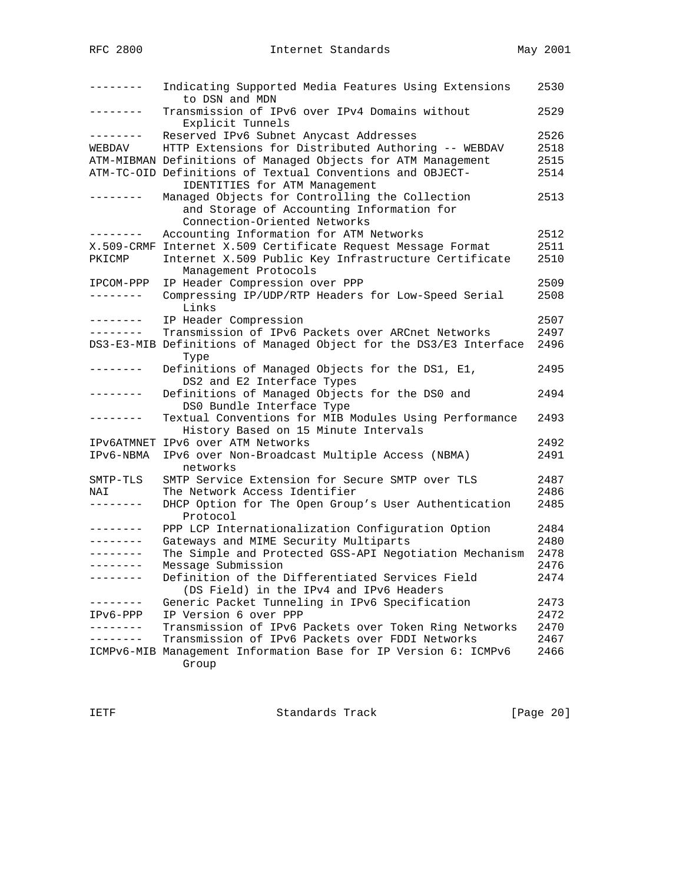|                 | Indicating Supported Media Features Using Extensions<br>to DSN and MDN                                                      | 2530 |
|-----------------|-----------------------------------------------------------------------------------------------------------------------------|------|
| --------        | Transmission of IPv6 over IPv4 Domains without<br>Explicit Tunnels                                                          | 2529 |
| ---------       | Reserved IPv6 Subnet Anycast Addresses                                                                                      | 2526 |
| WEBDAV          | HTTP Extensions for Distributed Authoring -- WEBDAV                                                                         | 2518 |
|                 | ATM-MIBMAN Definitions of Managed Objects for ATM Management                                                                | 2515 |
|                 | ATM-TC-OID Definitions of Textual Conventions and OBJECT-<br>IDENTITIES for ATM Management                                  | 2514 |
|                 | Managed Objects for Controlling the Collection<br>and Storage of Accounting Information for<br>Connection-Oriented Networks | 2513 |
|                 | Accounting Information for ATM Networks                                                                                     | 2512 |
|                 | X.509-CRMF Internet X.509 Certificate Request Message Format                                                                | 2511 |
| PKICMP          | Internet X.509 Public Key Infrastructure Certificate<br>Management Protocols                                                | 2510 |
| IPCOM-PPP       | IP Header Compression over PPP                                                                                              | 2509 |
| --------        | Compressing IP/UDP/RTP Headers for Low-Speed Serial<br>Links                                                                | 2508 |
| . <u>.</u> .    | IP Header Compression                                                                                                       | 2507 |
| --------        | Transmission of IPv6 Packets over ARCnet Networks                                                                           | 2497 |
|                 | DS3-E3-MIB Definitions of Managed Object for the DS3/E3 Interface<br>Type                                                   | 2496 |
| --------        | Definitions of Managed Objects for the DS1, E1,<br>DS2 and E2 Interface Types                                               | 2495 |
| . _ _ _ _ _ _ _ | Definitions of Managed Objects for the DS0 and<br>DS0 Bundle Interface Type                                                 | 2494 |
|                 | Textual Conventions for MIB Modules Using Performance<br>History Based on 15 Minute Intervals                               | 2493 |
|                 | IPV6ATMNET IPV6 over ATM Networks                                                                                           | 2492 |
| IPv6-NBMA       | IPv6 over Non-Broadcast Multiple Access (NBMA)<br>networks                                                                  | 2491 |
| SMTP-TLS        | SMTP Service Extension for Secure SMTP over TLS                                                                             | 2487 |
| NAI             | The Network Access Identifier                                                                                               | 2486 |
| --------        | DHCP Option for The Open Group's User Authentication<br>Protocol                                                            | 2485 |
| . <u>.</u> .    | PPP LCP Internationalization Configuration Option                                                                           | 2484 |
| - - - - - - - - | Gateways and MIME Security Multiparts                                                                                       | 2480 |
| --------        | The Simple and Protected GSS-API Negotiation Mechanism                                                                      | 2478 |
|                 | Message Submission                                                                                                          | 2476 |
| --------        | Definition of the Differentiated Services Field<br>(DS Field) in the IPv4 and IPv6 Headers                                  | 2474 |
|                 | Generic Packet Tunneling in IPv6 Specification                                                                              | 2473 |
| IPv6-PPP        | IP Version 6 over PPP                                                                                                       | 2472 |
| $- - - - - - -$ | Transmission of IPv6 Packets over Token Ring Networks                                                                       | 2470 |
| ------          | Transmission of IPv6 Packets over FDDI Networks                                                                             | 2467 |
|                 | ICMPv6-MIB Management Information Base for IP Version 6: ICMPv6<br>Group                                                    | 2466 |

IETF Standards Track [Page 20]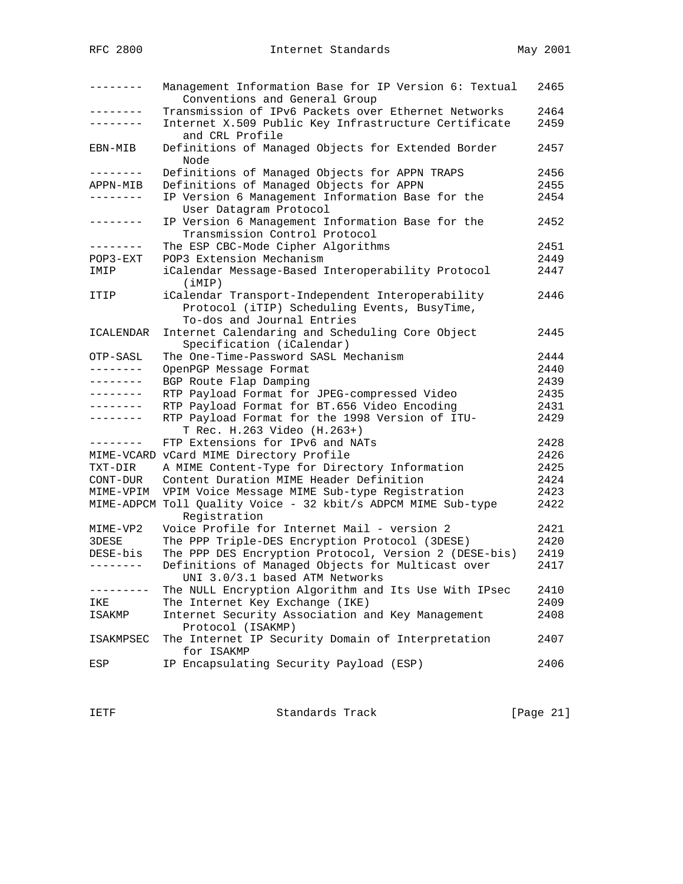| --------        | Management Information Base for IP Version 6: Textual<br>Conventions and General Group                                         | 2465 |
|-----------------|--------------------------------------------------------------------------------------------------------------------------------|------|
| .               | Transmission of IPv6 Packets over Ethernet Networks                                                                            | 2464 |
|                 | Internet X.509 Public Key Infrastructure Certificate<br>and CRL Profile                                                        | 2459 |
| EBN-MIB         | Definitions of Managed Objects for Extended Border<br>Node                                                                     | 2457 |
| --------        | Definitions of Managed Objects for APPN TRAPS                                                                                  | 2456 |
| APPN-MIB        | Definitions of Managed Objects for APPN                                                                                        | 2455 |
| .               | IP Version 6 Management Information Base for the<br>User Datagram Protocol                                                     | 2454 |
| - - - - - - - - | IP Version 6 Management Information Base for the<br>Transmission Control Protocol                                              | 2452 |
| --------        | The ESP CBC-Mode Cipher Algorithms                                                                                             | 2451 |
| $POP3 - EXT$    | POP3 Extension Mechanism                                                                                                       | 2449 |
| IMIP            | iCalendar Message-Based Interoperability Protocol<br>(iMIP)                                                                    | 2447 |
| ITIP            | iCalendar Transport-Independent Interoperability<br>Protocol (iTIP) Scheduling Events, BusyTime,<br>To-dos and Journal Entries | 2446 |
| ICALENDAR       | Internet Calendaring and Scheduling Core Object<br>Specification (iCalendar)                                                   | 2445 |
| OTP-SASL        | The One-Time-Password SASL Mechanism                                                                                           | 2444 |
| - - - - - - - - | OpenPGP Message Format                                                                                                         | 2440 |
| . - - - - - - - | BGP Route Flap Damping                                                                                                         | 2439 |
| --------        | RTP Payload Format for JPEG-compressed Video                                                                                   | 2435 |
| --------        | RTP Payload Format for BT.656 Video Encoding                                                                                   | 2431 |
|                 | RTP Payload Format for the 1998 Version of ITU-<br>T Rec. H.263 Video (H.263+)                                                 | 2429 |
| --------        | FTP Extensions for IPv6 and NATs                                                                                               | 2428 |
|                 | MIME-VCARD vCard MIME Directory Profile                                                                                        | 2426 |
| TXT-DIR         | A MIME Content-Type for Directory Information                                                                                  | 2425 |
| CONT-DUR        | Content Duration MIME Header Definition                                                                                        | 2424 |
| MIME-VPIM       | VPIM Voice Message MIME Sub-type Registration                                                                                  | 2423 |
|                 | MIME-ADPCM Toll Quality Voice - 32 kbit/s ADPCM MIME Sub-type<br>Registration                                                  | 2422 |
| MIME-VP2        | Voice Profile for Internet Mail - version 2                                                                                    | 2421 |
| 3DESE           | The PPP Triple-DES Encryption Protocol (3DESE)                                                                                 | 2420 |
| DESE-bis        | The PPP DES Encryption Protocol, Version 2 (DESE-bis)                                                                          | 2419 |
| --------        | Definitions of Managed Objects for Multicast over<br>UNI 3.0/3.1 based ATM Networks                                            | 2417 |
| ---------       | The NULL Encryption Algorithm and Its Use With IPsec                                                                           | 2410 |
| IKE             | The Internet Key Exchange (IKE)                                                                                                | 2409 |
| ISAKMP          | Internet Security Association and Key Management<br>Protocol (ISAKMP)                                                          | 2408 |
| ISAKMPSEC       | The Internet IP Security Domain of Interpretation<br>for ISAKMP                                                                | 2407 |
| ESP             | IP Encapsulating Security Payload (ESP)                                                                                        | 2406 |

IETF Standards Track [Page 21]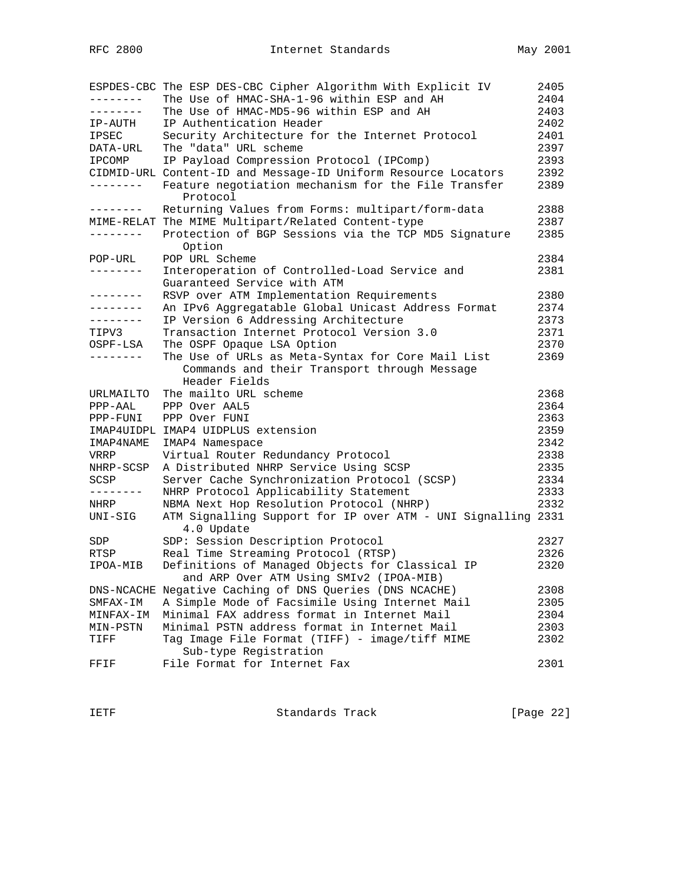|               | ESPDES-CBC The ESP DES-CBC Cipher Algorithm With Explicit IV               | 2405 |
|---------------|----------------------------------------------------------------------------|------|
| - - - - - - - | The Use of HMAC-SHA-1-96 within ESP and AH                                 | 2404 |
| --------      | The Use of HMAC-MD5-96 within ESP and AH                                   | 2403 |
| IP-AUTH       | IP Authentication Header                                                   | 2402 |
| IPSEC         | Security Architecture for the Internet Protocol                            | 2401 |
| DATA-URL      | The "data" URL scheme                                                      | 2397 |
| IPCOMP        | IP Payload Compression Protocol (IPComp)                                   | 2393 |
|               | CIDMID-URL Content-ID and Message-ID Uniform Resource Locators             | 2392 |
| --------      | Feature negotiation mechanism for the File Transfer<br>Protocol            | 2389 |
| --------      | Returning Values from Forms: multipart/form-data                           | 2388 |
|               | MIME-RELAT The MIME Multipart/Related Content-type                         | 2387 |
| -------       | Protection of BGP Sessions via the TCP MD5 Signature<br>Option             | 2385 |
| POP-URL       | POP URL Scheme                                                             | 2384 |
| --------      | Interoperation of Controlled-Load Service and                              | 2381 |
|               | Guaranteed Service with ATM                                                |      |
| --------      | RSVP over ATM Implementation Requirements                                  | 2380 |
| --------      | An IPv6 Aggregatable Global Unicast Address Format                         | 2374 |
| --------      | IP Version 6 Addressing Architecture                                       | 2373 |
| TIPV3         | Transaction Internet Protocol Version 3.0                                  | 2371 |
| OSPF-LSA      | The OSPF Opaque LSA Option                                                 | 2370 |
| ---------     | The Use of URLs as Meta-Syntax for Core Mail List                          | 2369 |
|               | Commands and their Transport through Message<br>Header Fields              |      |
| URLMAILTO     | The mailto URL scheme                                                      | 2368 |
| PPP-AAL       | PPP Over AAL5                                                              | 2364 |
| PPP-FUNI      | PPP Over FUNI                                                              | 2363 |
|               | IMAP4UIDPL IMAP4 UIDPLUS extension                                         | 2359 |
| IMAP4NAME     | IMAP4 Namespace                                                            | 2342 |
| VRRP          | Virtual Router Redundancy Protocol                                         | 2338 |
| NHRP-SCSP     | A Distributed NHRP Service Using SCSP                                      | 2335 |
| SCSP          | Server Cache Synchronization Protocol (SCSP)                               | 2334 |
| --------      | NHRP Protocol Applicability Statement                                      | 2333 |
| NHRP          | NBMA Next Hop Resolution Protocol (NHRP)                                   | 2332 |
| UNI-SIG       | ATM Signalling Support for IP over ATM - UNI Signalling 2331<br>4.0 Update |      |
| SDP           | SDP: Session Description Protocol                                          | 2327 |
| RTSP          | Real Time Streaming Protocol (RTSP)                                        | 2326 |
| IPOA-MIB      | Definitions of Managed Objects for Classical IP                            | 2320 |
|               | and ARP Over ATM Using SMIv2 (IPOA-MIB)                                    |      |
|               | DNS-NCACHE Negative Caching of DNS Queries (DNS NCACHE)                    | 2308 |
| SMFAX-IM      | A Simple Mode of Facsimile Using Internet Mail                             | 2305 |
| MINFAX-IM     | Minimal FAX address format in Internet Mail                                | 2304 |
| MIN-PSTN      | Minimal PSTN address format in Internet Mail                               | 2303 |
| TIFF          | Tag Image File Format (TIFF) - image/tiff MIME<br>Sub-type Registration    | 2302 |
| FFIF          | File Format for Internet Fax                                               | 2301 |

IETF Standards Track [Page 22]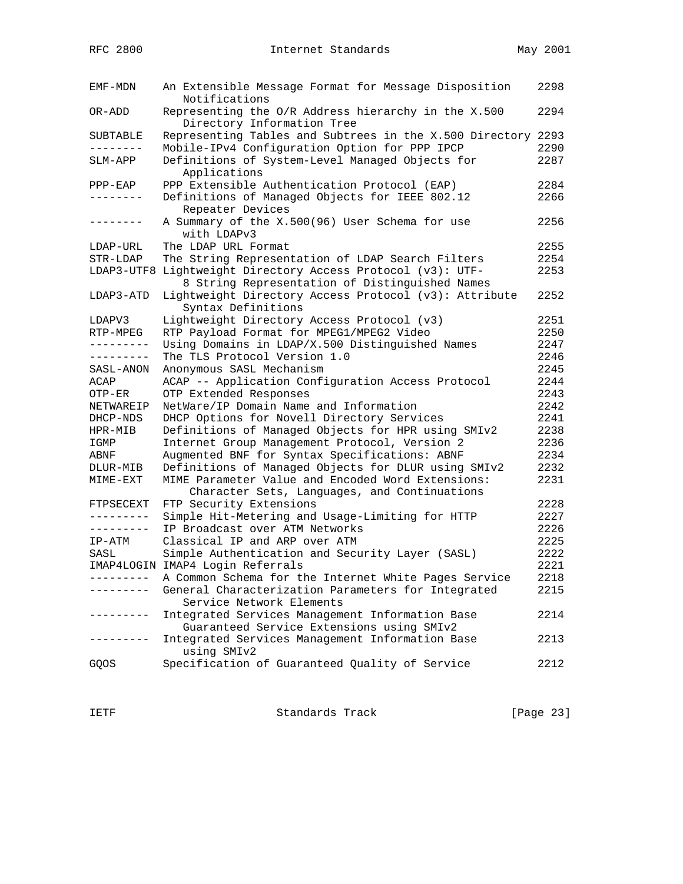| EMF-MDN               | An Extensible Message Format for Message Disposition<br>Notifications                        | 2298 |
|-----------------------|----------------------------------------------------------------------------------------------|------|
| OR-ADD                | Representing the O/R Address hierarchy in the X.500<br>Directory Information Tree            | 2294 |
| SUBTABLE              | Representing Tables and Subtrees in the X.500 Directory 2293                                 |      |
| . <u>.</u>            | Mobile-IPv4 Configuration Option for PPP IPCP                                                | 2290 |
| SLM-APP               | Definitions of System-Level Managed Objects for                                              | 2287 |
|                       | Applications                                                                                 |      |
| $PPP-EAP$<br>-------- | PPP Extensible Authentication Protocol (EAP)                                                 | 2284 |
|                       | Definitions of Managed Objects for IEEE 802.12<br>Repeater Devices                           | 2266 |
| --------              | A Summary of the X.500(96) User Schema for use<br>with LDAPv3                                | 2256 |
| LDAP-URL              | The LDAP URL Format                                                                          | 2255 |
| STR-LDAP              | The String Representation of LDAP Search Filters                                             | 2254 |
| LDAP3-UTF8            | Lightweight Directory Access Protocol (v3): UTF-                                             | 2253 |
|                       | 8 String Representation of Distinguished Names                                               |      |
| LDAP3-ATD             | Lightweight Directory Access Protocol (v3): Attribute<br>Syntax Definitions                  | 2252 |
| LDAPV3                | Lightweight Directory Access Protocol (v3)                                                   | 2251 |
| RTP-MPEG              | RTP Payload Format for MPEG1/MPEG2 Video                                                     | 2250 |
| ---------             | Using Domains in LDAP/X.500 Distinguished Names                                              | 2247 |
| ---------             | The TLS Protocol Version 1.0                                                                 | 2246 |
| SASL-ANON             | Anonymous SASL Mechanism                                                                     | 2245 |
| ACAP                  | ACAP -- Application Configuration Access Protocol                                            | 2244 |
| OTP-ER                | OTP Extended Responses                                                                       | 2243 |
| NETWAREIP             | NetWare/IP Domain Name and Information                                                       | 2242 |
| DHCP-NDS              | DHCP Options for Novell Directory Services                                                   | 2241 |
| HPR-MIB               | Definitions of Managed Objects for HPR using SMIv2                                           | 2238 |
| IGMP                  | Internet Group Management Protocol, Version 2                                                | 2236 |
| ABNF                  | Augmented BNF for Syntax Specifications: ABNF                                                | 2234 |
| DLUR-MIB              | Definitions of Managed Objects for DLUR using SMIv2                                          | 2232 |
| MIME-EXT              | MIME Parameter Value and Encoded Word Extensions:                                            | 2231 |
|                       | Character Sets, Languages, and Continuations                                                 |      |
| FTPSECEXT             | FTP Security Extensions                                                                      | 2228 |
| - - - - - - - - -     | Simple Hit-Metering and Usage-Limiting for HTTP                                              | 2227 |
| ---------             | IP Broadcast over ATM Networks                                                               | 2226 |
| IP-ATM                | Classical IP and ARP over ATM                                                                | 2225 |
| SASL                  | Simple Authentication and Security Layer (SASL)                                              | 2222 |
|                       | IMAP4LOGIN IMAP4 Login Referrals                                                             | 2221 |
| ---------             | A Common Schema for the Internet White Pages Service                                         | 2218 |
|                       | General Characterization Parameters for Integrated                                           | 2215 |
|                       | Service Network Elements                                                                     |      |
| -----                 | Integrated Services Management Information Base<br>Guaranteed Service Extensions using SMIv2 | 2214 |
| $- - - - - -$         | Integrated Services Management Information Base<br>using SMIv2                               | 2213 |
| GQOS                  | Specification of Guaranteed Quality of Service                                               | 2212 |

IETF Standards Track [Page 23]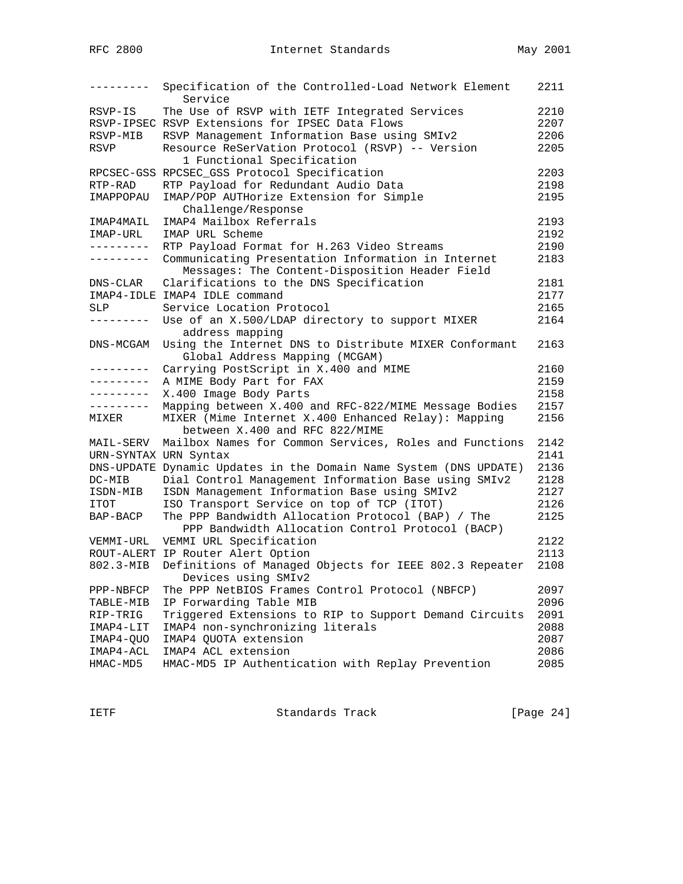| ---------             | Specification of the Controlled-Load Network Element              | 2211 |
|-----------------------|-------------------------------------------------------------------|------|
|                       | Service                                                           |      |
| RSVP-IS               | The Use of RSVP with IETF Integrated Services                     | 2210 |
|                       | RSVP-IPSEC RSVP Extensions for IPSEC Data Flows                   | 2207 |
| RSVP-MIB              | RSVP Management Information Base using SMIv2                      | 2206 |
| RSVP                  | Resource ReSerVation Protocol (RSVP) -- Version                   | 2205 |
|                       | 1 Functional Specification                                        |      |
|                       | RPCSEC-GSS RPCSEC_GSS Protocol Specification                      | 2203 |
| RTP-RAD               | RTP Payload for Redundant Audio Data                              | 2198 |
| IMAPPOPAU             | IMAP/POP AUTHorize Extension for Simple                           | 2195 |
|                       | Challenge/Response                                                |      |
| IMAP4MAIL             | IMAP4 Mailbox Referrals                                           | 2193 |
| IMAP-URL              | IMAP URL Scheme                                                   | 2192 |
| ---------             | RTP Payload Format for H.263 Video Streams                        | 2190 |
| ---------             | Communicating Presentation Information in Internet                | 2183 |
|                       | Messages: The Content-Disposition Header Field                    |      |
| DNS-CLAR              | Clarifications to the DNS Specification                           | 2181 |
|                       | IMAP4-IDLE IMAP4 IDLE command                                     | 2177 |
| SLP                   | Service Location Protocol                                         | 2165 |
| ---------             | Use of an X.500/LDAP directory to support MIXER                   | 2164 |
|                       | address mapping                                                   |      |
| DNS-MCGAM             | Using the Internet DNS to Distribute MIXER Conformant             | 2163 |
|                       | Global Address Mapping (MCGAM)                                    |      |
| --------              | Carrying PostScript in X.400 and MIME                             | 2160 |
| ---------             | A MIME Body Part for FAX                                          | 2159 |
| . <u>.</u>            | X.400 Image Body Parts                                            | 2158 |
| . <u>.</u>            | Mapping between X.400 and RFC-822/MIME Message Bodies             | 2157 |
| MIXER                 | MIXER (Mime Internet X.400 Enhanced Relay): Mapping               | 2156 |
|                       | between X.400 and RFC 822/MIME                                    |      |
| MAIL-SERV             | Mailbox Names for Common Services, Roles and Functions            | 2142 |
| URN-SYNTAX URN Syntax |                                                                   | 2141 |
|                       | DNS-UPDATE Dynamic Updates in the Domain Name System (DNS UPDATE) | 2136 |
| DC-MIB                | Dial Control Management Information Base using SMIv2              | 2128 |
| ISDN-MIB              | ISDN Management Information Base using SMIv2                      | 2127 |
| ITOT                  | ISO Transport Service on top of TCP (ITOT)                        | 2126 |
| BAP-BACP              | The PPP Bandwidth Allocation Protocol (BAP) / The                 | 2125 |
|                       | PPP Bandwidth Allocation Control Protocol (BACP)                  |      |
| VEMMI-URL             | VEMMI URL Specification                                           | 2122 |
|                       | ROUT-ALERT IP Router Alert Option                                 | 2113 |
| 802.3-MIB             | Definitions of Managed Objects for IEEE 802.3 Repeater            | 2108 |
|                       | Devices using SMIv2                                               |      |
| PPP-NBFCP             | The PPP NetBIOS Frames Control Protocol (NBFCP)                   | 2097 |
| TABLE-MIB             | IP Forwarding Table MIB                                           | 2096 |
| RIP-TRIG              | Triggered Extensions to RIP to Support Demand Circuits            | 2091 |
| IMAP4-LIT             | IMAP4 non-synchronizing literals                                  | 2088 |
| IMAP4-QUO             | IMAP4 QUOTA extension                                             | 2087 |
| IMAP4-ACL             | IMAP4 ACL extension                                               | 2086 |
| HMAC-MD5              | HMAC-MD5 IP Authentication with Replay Prevention                 | 2085 |
|                       |                                                                   |      |

IETF Standards Track [Page 24]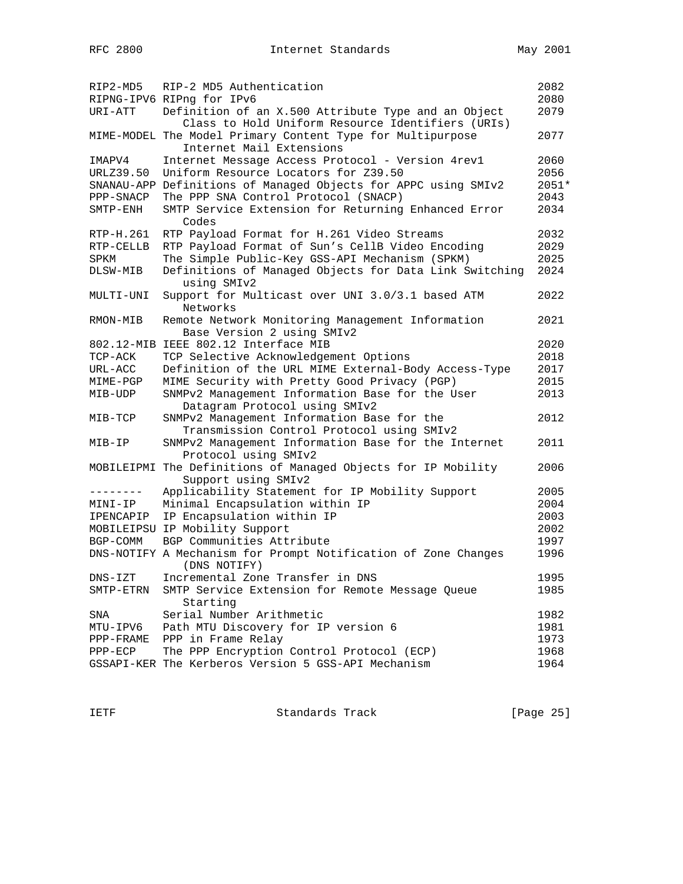| RIP2-MD5    | RIP-2 MD5 Authentication                                                                                 | 2082         |
|-------------|----------------------------------------------------------------------------------------------------------|--------------|
|             | RIPNG-IPV6 RIPng for IPv6                                                                                | 2080         |
| URI-ATT     | Definition of an X.500 Attribute Type and an Object<br>Class to Hold Uniform Resource Identifiers (URIs) | 2079         |
|             | MIME-MODEL The Model Primary Content Type for Multipurpose<br>Internet Mail Extensions                   | 2077         |
| IMAPV4      | Internet Message Access Protocol - Version 4rev1                                                         | 2060         |
| URLZ39.50   | Uniform Resource Locators for Z39.50                                                                     | 2056         |
|             | SNANAU-APP Definitions of Managed Objects for APPC using SMIv2                                           | 2051*        |
| PPP-SNACP   | The PPP SNA Control Protocol (SNACP)                                                                     | 2043         |
| SMTP-ENH    | SMTP Service Extension for Returning Enhanced Error<br>Codes                                             | 2034         |
| RTP-H.261   | RTP Payload Format for H.261 Video Streams                                                               | 2032         |
| RTP-CELLB   | RTP Payload Format of Sun's CellB Video Encoding                                                         | 2029         |
| SPKM        | The Simple Public-Key GSS-API Mechanism (SPKM)                                                           | 2025         |
| DLSW-MIB    | Definitions of Managed Objects for Data Link Switching<br>using SMIv2                                    | 2024         |
| MULTI-UNI   | Support for Multicast over UNI 3.0/3.1 based ATM<br>Networks                                             | 2022         |
| RMON-MIB    | Remote Network Monitoring Management Information                                                         | 2021         |
|             | Base Version 2 using SMIv2                                                                               |              |
|             | 802.12-MIB IEEE 802.12 Interface MIB                                                                     | 2020         |
| TCP-ACK     | TCP Selective Acknowledgement Options                                                                    | 2018         |
| URL-ACC     | Definition of the URL MIME External-Body Access-Type                                                     | 2017         |
| MIME-PGP    | MIME Security with Pretty Good Privacy (PGP)                                                             | 2015<br>2013 |
| MIB-UDP     | SNMPv2 Management Information Base for the User<br>Datagram Protocol using SMIv2                         |              |
| MIB-TCP     | SNMPv2 Management Information Base for the                                                               | 2012         |
|             | Transmission Control Protocol using SMIv2                                                                |              |
| MIB-IP      | SNMPv2 Management Information Base for the Internet                                                      | 2011         |
|             | Protocol using SMIv2                                                                                     |              |
|             | MOBILEIPMI The Definitions of Managed Objects for IP Mobility                                            | 2006         |
|             | Support using SMIv2                                                                                      |              |
| --------    | Applicability Statement for IP Mobility Support                                                          | 2005         |
| MINI-IP     | Minimal Encapsulation within IP                                                                          | 2004         |
| IPENCAPIP   | IP Encapsulation within IP                                                                               | 2003         |
|             | MOBILEIPSU IP Mobility Support                                                                           | 2002         |
| BGP-COMM    | BGP Communities Attribute                                                                                | 1997         |
|             | DNS-NOTIFY A Mechanism for Prompt Notification of Zone Changes<br>(DNS NOTIFY)                           | 1996         |
| $DNS - IZT$ | Incremental Zone Transfer in DNS                                                                         | 1995         |
| SMTP-ETRN   | SMTP Service Extension for Remote Message Queue                                                          | 1985         |
|             | Starting                                                                                                 |              |
| SNA         | Serial Number Arithmetic                                                                                 | 1982         |
| MTU-IPV6    | Path MTU Discovery for IP version 6                                                                      | 1981         |
| PPP-FRAME   | PPP in Frame Relay                                                                                       | 1973         |
| PPP-ECP     | The PPP Encryption Control Protocol (ECP)                                                                | 1968         |
|             | GSSAPI-KER The Kerberos Version 5 GSS-API Mechanism                                                      | 1964         |

IETF Standards Track [Page 25]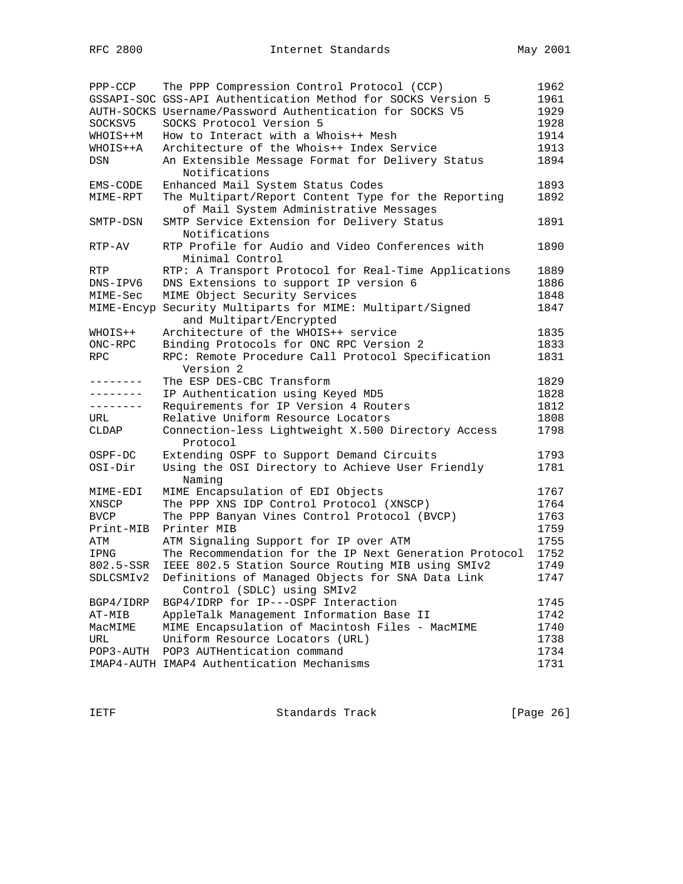| PPP-CCP     | The PPP Compression Control Protocol (CCP)                   | 1962 |
|-------------|--------------------------------------------------------------|------|
|             | GSSAPI-SOC GSS-API Authentication Method for SOCKS Version 5 | 1961 |
|             | AUTH-SOCKS Username/Password Authentication for SOCKS V5     | 1929 |
| SOCKSV5     | SOCKS Protocol Version 5                                     | 1928 |
| WHOIS++M    | How to Interact with a Whois++ Mesh                          | 1914 |
| WHOIS++A    | Architecture of the Whois++ Index Service                    | 1913 |
| DSN         | An Extensible Message Format for Delivery Status             | 1894 |
|             | Notifications                                                |      |
| EMS-CODE    | Enhanced Mail System Status Codes                            | 1893 |
| MIME-RPT    | The Multipart/Report Content Type for the Reporting          | 1892 |
|             | of Mail System Administrative Messages                       |      |
| SMTP-DSN    | SMTP Service Extension for Delivery Status                   | 1891 |
|             | Notifications                                                |      |
| RTP-AV      | RTP Profile for Audio and Video Conferences with             | 1890 |
|             | Minimal Control                                              |      |
| RTP         | RTP: A Transport Protocol for Real-Time Applications         | 1889 |
| DNS-IPV6    | DNS Extensions to support IP version 6                       | 1886 |
| MIME-Sec    | MIME Object Security Services                                | 1848 |
|             | MIME-Encyp Security Multiparts for MIME: Multipart/Signed    | 1847 |
|             | and Multipart/Encrypted                                      |      |
| WHOIS++     | Architecture of the WHOIS++ service                          | 1835 |
| ONC-RPC     | Binding Protocols for ONC RPC Version 2                      | 1833 |
| <b>RPC</b>  | RPC: Remote Procedure Call Protocol Specification            | 1831 |
|             | Version 2                                                    |      |
| -------     | The ESP DES-CBC Transform                                    | 1829 |
|             | IP Authentication using Keyed MD5                            | 1828 |
| --------    | Requirements for IP Version 4 Routers                        | 1812 |
| URL         | Relative Uniform Resource Locators                           | 1808 |
| CLDAP       | Connection-less Lightweight X.500 Directory Access           | 1798 |
|             | Protocol                                                     |      |
| OSPF-DC     | Extending OSPF to Support Demand Circuits                    | 1793 |
| OSI-Dir     | Using the OSI Directory to Achieve User Friendly             | 1781 |
|             | Naming                                                       |      |
| MIME-EDI    | MIME Encapsulation of EDI Objects                            | 1767 |
| XNSCP       | The PPP XNS IDP Control Protocol (XNSCP)                     | 1764 |
| <b>BVCP</b> | The PPP Banyan Vines Control Protocol (BVCP)                 | 1763 |
| Print-MIB   | Printer MIB                                                  | 1759 |
| ATM         | ATM Signaling Support for IP over ATM                        | 1755 |
| IPNG        | The Recommendation for the IP Next Generation Protocol       | 1752 |
| 802.5-SSR   | IEEE 802.5 Station Source Routing MIB using SMIv2            | 1749 |
| SDLCSMIv2   | Definitions of Managed Objects for SNA Data Link             | 1747 |
|             | Control (SDLC) using SMIv2                                   |      |
| BGP4/IDRP   | BGP4/IDRP for IP---OSPF Interaction                          | 1745 |
| AT-MIB      | AppleTalk Management Information Base II                     | 1742 |
| MacMIME     | MIME Encapsulation of Macintosh Files - MacMIME              | 1740 |
| URL         | Uniform Resource Locators (URL)                              | 1738 |
|             | POP3-AUTH POP3 AUTHentication command                        | 1734 |
|             | IMAP4-AUTH IMAP4 Authentication Mechanisms                   | 1731 |

IETF Standards Track [Page 26]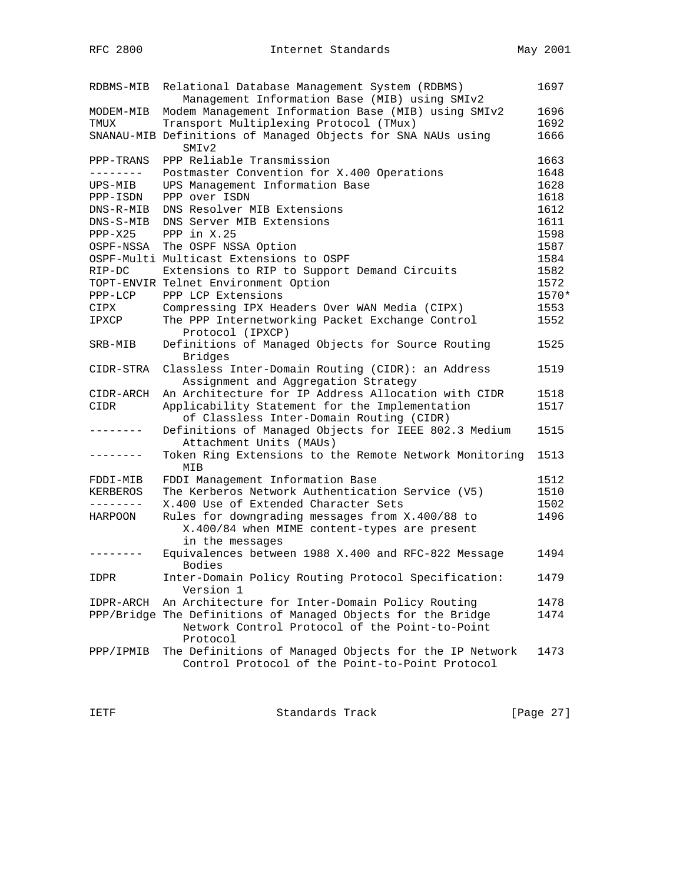| RDBMS-MIB       | Relational Database Management System (RDBMS)<br>Management Information Base (MIB) using SMIv2                             | 1697  |
|-----------------|----------------------------------------------------------------------------------------------------------------------------|-------|
| MODEM-MIB       | Modem Management Information Base (MIB) using SMIv2                                                                        | 1696  |
| TMUX            | Transport Multiplexing Protocol (TMux)                                                                                     | 1692  |
|                 | SNANAU-MIB Definitions of Managed Objects for SNA NAUs using<br>SMIv2                                                      | 1666  |
| PPP-TRANS       | PPP Reliable Transmission                                                                                                  | 1663  |
| ---------       | Postmaster Convention for X.400 Operations                                                                                 | 1648  |
| UPS-MIB         | UPS Management Information Base                                                                                            | 1628  |
| PPP-ISDN        | PPP over ISDN                                                                                                              | 1618  |
| DNS-R-MIB       | DNS Resolver MIB Extensions                                                                                                | 1612  |
| DNS-S-MIB       | DNS Server MIB Extensions                                                                                                  | 1611  |
| $PPP-X25$       | PPP in $X.25$                                                                                                              | 1598  |
| OSPF-NSSA       | The OSPF NSSA Option                                                                                                       | 1587  |
|                 | OSPF-Multi Multicast Extensions to OSPF                                                                                    | 1584  |
| $RIP-DC$        | Extensions to RIP to Support Demand Circuits                                                                               | 1582  |
|                 | TOPT-ENVIR Telnet Environment Option                                                                                       | 1572  |
| PPP-LCP         | PPP LCP Extensions                                                                                                         | 1570* |
| CIPX            | Compressing IPX Headers Over WAN Media (CIPX)                                                                              | 1553  |
| IPXCP           | The PPP Internetworking Packet Exchange Control<br>Protocol (IPXCP)                                                        | 1552  |
| SRB-MIB         | Definitions of Managed Objects for Source Routing<br><b>Bridges</b>                                                        | 1525  |
| CIDR-STRA       | Classless Inter-Domain Routing (CIDR): an Address<br>Assignment and Aggregation Strategy                                   | 1519  |
| CIDR-ARCH       | An Architecture for IP Address Allocation with CIDR                                                                        | 1518  |
| CIDR            | Applicability Statement for the Implementation                                                                             | 1517  |
|                 | of Classless Inter-Domain Routing (CIDR)                                                                                   |       |
| . _ _ _ _ _ _ _ | Definitions of Managed Objects for IEEE 802.3 Medium<br>Attachment Units (MAUs)                                            | 1515  |
| . - - - - - - - | Token Ring Extensions to the Remote Network Monitoring<br>MIB                                                              | 1513  |
| FDDI-MIB        | FDDI Management Information Base                                                                                           | 1512  |
| KERBEROS        | The Kerberos Network Authentication Service (V5)                                                                           | 1510  |
|                 | X.400 Use of Extended Character Sets                                                                                       | 1502  |
| HARPOON         | Rules for downgrading messages from X.400/88 to                                                                            | 1496  |
|                 | X.400/84 when MIME content-types are present<br>in the messages                                                            |       |
|                 | Equivalences between 1988 X.400 and RFC-822 Message<br>Bodies                                                              | 1494  |
| IDPR            | Inter-Domain Policy Routing Protocol Specification:<br>Version 1                                                           | 1479  |
| IDPR-ARCH       | An Architecture for Inter-Domain Policy Routing                                                                            | 1478  |
|                 | PPP/Bridge The Definitions of Managed Objects for the Bridge<br>Network Control Protocol of the Point-to-Point<br>Protocol | 1474  |
| PPP/IPMIB       | The Definitions of Managed Objects for the IP Network<br>Control Protocol of the Point-to-Point Protocol                   | 1473  |

IETF Standards Track [Page 27]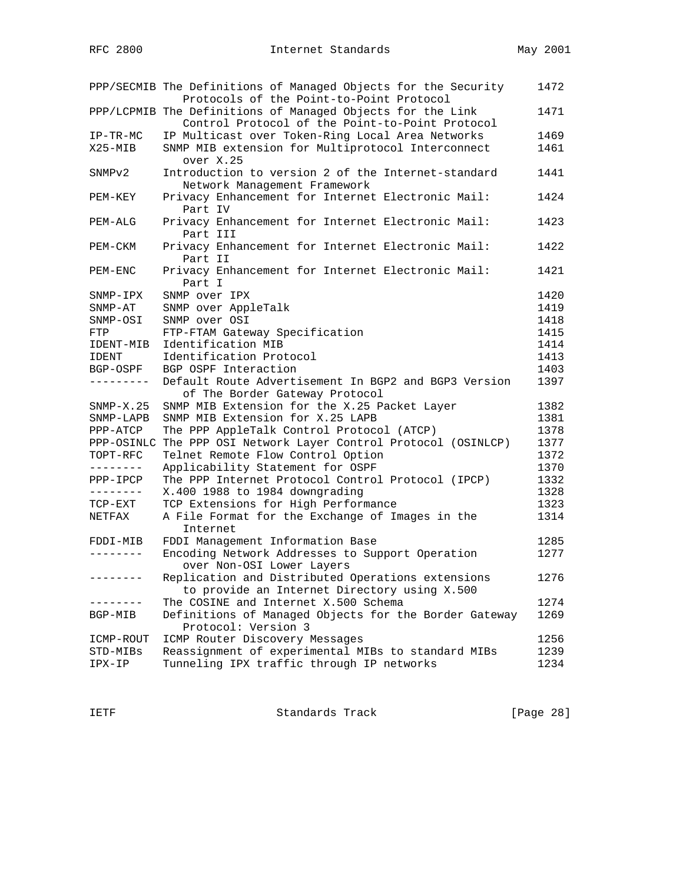|              | PPP/SECMIB The Definitions of Managed Objects for the Security<br>Protocols of the Point-to-Point Protocol    | 1472 |
|--------------|---------------------------------------------------------------------------------------------------------------|------|
|              | PPP/LCPMIB The Definitions of Managed Objects for the Link<br>Control Protocol of the Point-to-Point Protocol | 1471 |
| $IP-TR-MC$   | IP Multicast over Token-Ring Local Area Networks                                                              | 1469 |
| $X25 - MIB$  | SNMP MIB extension for Multiprotocol Interconnect                                                             | 1461 |
|              | over X.25                                                                                                     |      |
| SNMPv2       | Introduction to version 2 of the Internet-standard                                                            | 1441 |
|              | Network Management Framework                                                                                  |      |
| PEM-KEY      | Privacy Enhancement for Internet Electronic Mail:<br>Part IV                                                  | 1424 |
| PEM-ALG      | Privacy Enhancement for Internet Electronic Mail:<br>Part III                                                 | 1423 |
| PEM-CKM      | Privacy Enhancement for Internet Electronic Mail:                                                             | 1422 |
|              | Part II                                                                                                       |      |
| PEM-ENC      | Privacy Enhancement for Internet Electronic Mail:                                                             | 1421 |
|              | Part I                                                                                                        |      |
| $SNNP-IPX$   | SNMP over IPX                                                                                                 | 1420 |
| $SNNP-AT$    | SNMP over AppleTalk                                                                                           | 1419 |
| SNMP-OSI     | SNMP over OSI                                                                                                 | 1418 |
| FTP          | FTP-FTAM Gateway Specification                                                                                | 1415 |
| IDENT-MIB    | Identification MIB                                                                                            | 1414 |
| <b>IDENT</b> | Identification Protocol                                                                                       | 1413 |
| BGP-OSPF     | BGP OSPF Interaction                                                                                          | 1403 |
| ---------    | Default Route Advertisement In BGP2 and BGP3 Version<br>of The Border Gateway Protocol                        | 1397 |
| $SNMP-X.25$  | SNMP MIB Extension for the X.25 Packet Layer                                                                  | 1382 |
| SNMP-LAPB    | SNMP MIB Extension for X.25 LAPB                                                                              | 1381 |
| PPP-ATCP     | The PPP AppleTalk Control Protocol (ATCP)                                                                     | 1378 |
| PPP-OSINLC   | The PPP OSI Network Layer Control Protocol (OSINLCP)                                                          | 1377 |
| TOPT-RFC     | Telnet Remote Flow Control Option                                                                             | 1372 |
| --------     | Applicability Statement for OSPF                                                                              | 1370 |
| PPP-IPCP     | The PPP Internet Protocol Control Protocol (IPCP)                                                             | 1332 |
| ---------    | X.400 1988 to 1984 downgrading                                                                                | 1328 |
| TCP-EXT      | TCP Extensions for High Performance                                                                           | 1323 |
| NETFAX       | A File Format for the Exchange of Images in the                                                               | 1314 |
|              | Internet                                                                                                      |      |
| FDDI-MIB     | FDDI Management Information Base                                                                              | 1285 |
| --------     | Encoding Network Addresses to Support Operation                                                               | 1277 |
|              | over Non-OSI Lower Layers                                                                                     |      |
| ---------    | Replication and Distributed Operations extensions                                                             | 1276 |
|              | to provide an Internet Directory using X.500                                                                  |      |
|              | The COSINE and Internet X.500 Schema                                                                          | 1274 |
| BGP-MIB      | Definitions of Managed Objects for the Border Gateway<br>Protocol: Version 3                                  | 1269 |
| ICMP-ROUT    | ICMP Router Discovery Messages                                                                                | 1256 |
| STD-MIBs     | Reassignment of experimental MIBs to standard MIBs                                                            | 1239 |
| IPX-IP       | Tunneling IPX traffic through IP networks                                                                     | 1234 |

IETF Standards Track [Page 28]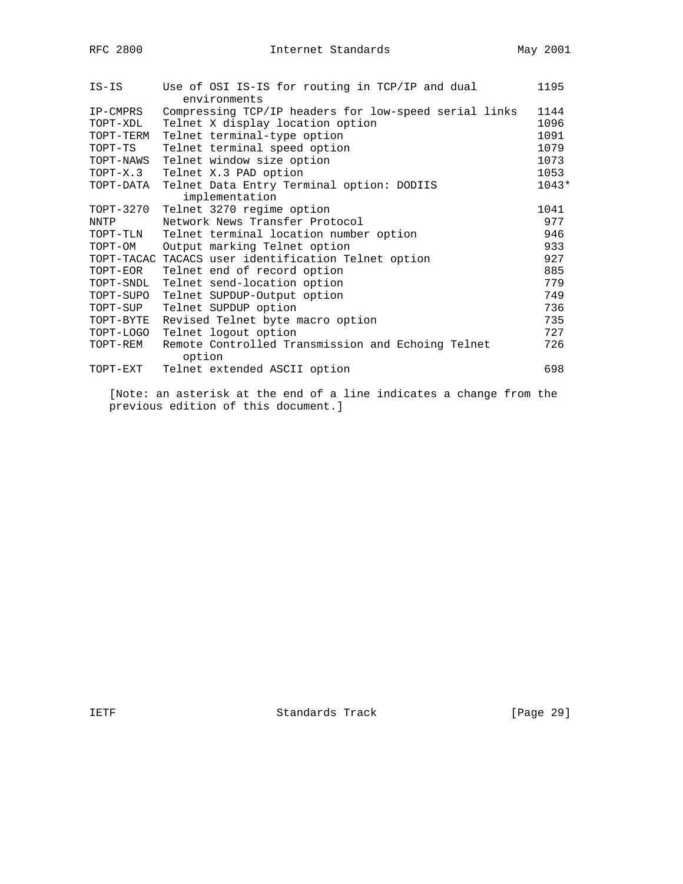| IS-IS     | Use of OSI IS-IS for routing in TCP/IP and dual       | 1195    |
|-----------|-------------------------------------------------------|---------|
|           | environments                                          |         |
| IP-CMPRS  | Compressing TCP/IP headers for low-speed serial links | 1144    |
| TOPT-XDL  | Telnet X display location option                      | 1096    |
| TOPT-TERM | Telnet terminal-type option                           | 1091    |
| TOPT-TS   | Telnet terminal speed option                          | 1079    |
| TOPT-NAWS | Telnet window size option                             | 1073    |
| TOPT-X.3  | Telnet X.3 PAD option                                 | 1053    |
| TOPT-DATA | Telnet Data Entry Terminal option: DODIIS             | $1043*$ |
|           | implementation                                        |         |
| TOPT-3270 | Telnet 3270 regime option                             | 1041    |
| NNTP      | Network News Transfer Protocol                        | 977     |
| TOPT-TLN  | Telnet terminal location number option                | 946     |
| TOPT-OM   | Output marking Telnet option                          | 933     |
|           | TOPT-TACAC TACACS user identification Telnet option   | 927     |
| TOPT-EOR  | Telnet end of record option                           | 885     |
| TOPT-SNDL | Telnet send-location option                           | 779     |
| TOPT-SUPO | Telnet SUPDUP-Output option                           | 749     |
| TOPT-SUP  | Telnet SUPDUP option                                  | 736     |
| TOPT-BYTE | Revised Telnet byte macro option                      | 735     |
| TOPT-LOGO | Telnet logout option                                  | 727     |
| TOPT-REM  | Remote Controlled Transmission and Echoing Telnet     | 726     |
|           | option                                                |         |
| TOPT-EXT  | Telnet extended ASCII option                          | 698     |

 [Note: an asterisk at the end of a line indicates a change from the previous edition of this document.]

IETF Standards Track [Page 29]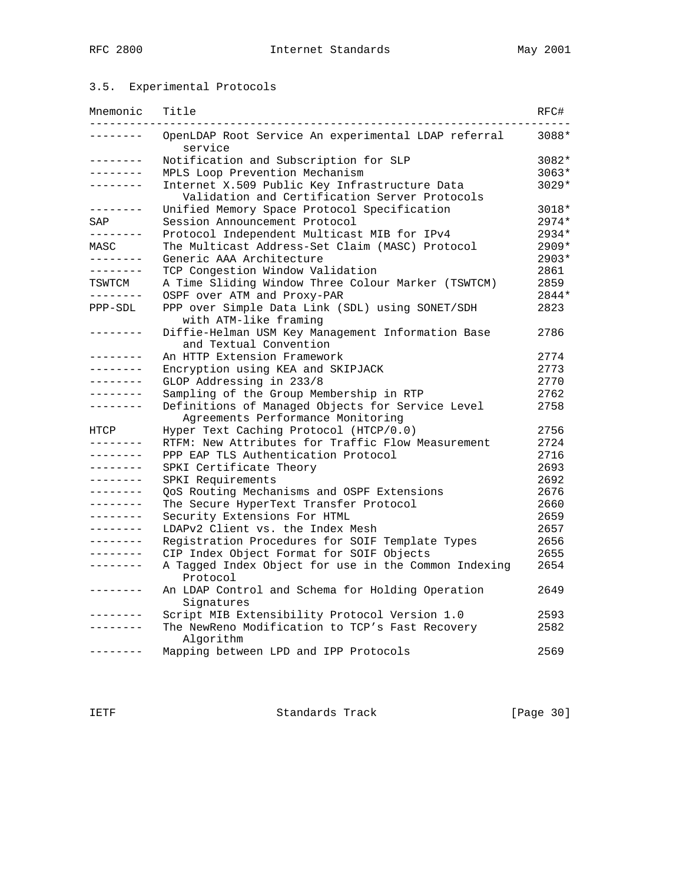## 3.5. Experimental Protocols

| Mnemonic          | Title                                                                                          | RFC#    |
|-------------------|------------------------------------------------------------------------------------------------|---------|
| .                 | OpenLDAP Root Service An experimental LDAP referral<br>service                                 | 3088*   |
| --------          | Notification and Subscription for SLP                                                          | 3082*   |
| --------          | MPLS Loop Prevention Mechanism                                                                 | $3063*$ |
| . _ _ _ _ _ _ _   | Internet X.509 Public Key Infrastructure Data<br>Validation and Certification Server Protocols | $3029*$ |
| --------          | Unified Memory Space Protocol Specification                                                    | 3018*   |
| SAP               | Session Announcement Protocol                                                                  | $2974*$ |
| --------          | Protocol Independent Multicast MIB for IPv4                                                    | 2934*   |
| MASC              | The Multicast Address-Set Claim (MASC) Protocol                                                | $2909*$ |
| --------          | Generic AAA Architecture                                                                       | 2903*   |
| --------          | TCP Congestion Window Validation                                                               | 2861    |
| TSWTCM            | A Time Sliding Window Three Colour Marker (TSWTCM)                                             | 2859    |
| ---------         | OSPF over ATM and Proxy-PAR                                                                    | 2844*   |
| PPP-SDL           | PPP over Simple Data Link (SDL) using SONET/SDH<br>with ATM-like framing                       | 2823    |
|                   | Diffie-Helman USM Key Management Information Base<br>and Textual Convention                    | 2786    |
| . <u>.</u> .      | An HTTP Extension Framework                                                                    | 2774    |
| --------          | Encryption using KEA and SKIPJACK                                                              | 2773    |
| - - - - - - - -   | GLOP Addressing in 233/8                                                                       | 2770    |
| . _ _ _ _ _ _ _   | Sampling of the Group Membership in RTP                                                        | 2762    |
| -------           | Definitions of Managed Objects for Service Level                                               | 2758    |
|                   | Agreements Performance Monitoring                                                              |         |
| HTCP              | Hyper Text Caching Protocol (HTCP/0.0)                                                         | 2756    |
| --------          | RTFM: New Attributes for Traffic Flow Measurement                                              | 2724    |
| . <u>.</u>        | PPP EAP TLS Authentication Protocol                                                            | 2716    |
| .                 | SPKI Certificate Theory                                                                        | 2693    |
| --------          | SPKI Requirements                                                                              | 2692    |
| . <u>.</u> .      | QoS Routing Mechanisms and OSPF Extensions                                                     | 2676    |
| --------          | The Secure HyperText Transfer Protocol                                                         | 2660    |
| ---------         | Security Extensions For HTML                                                                   | 2659    |
| . _ _ _ _ _ _ _   | LDAPv2 Client vs. the Index Mesh                                                               | 2657    |
| . <u>.</u>        | Registration Procedures for SOIF Template Types                                                | 2656    |
| --------          | CIP Index Object Format for SOIF Objects                                                       | 2655    |
| . <u>.</u>        | A Tagged Index Object for use in the Common Indexing<br>Protocol                               | 2654    |
| $- - - - - - - -$ | An LDAP Control and Schema for Holding Operation<br>Signatures                                 | 2649    |
| -------           | Script MIB Extensibility Protocol Version 1.0                                                  | 2593    |
| . _ _ _ _ _ _ _   | The NewReno Modification to TCP's Fast Recovery<br>Algorithm                                   | 2582    |
| -------           | Mapping between LPD and IPP Protocols                                                          | 2569    |

IETF Standards Track [Page 30]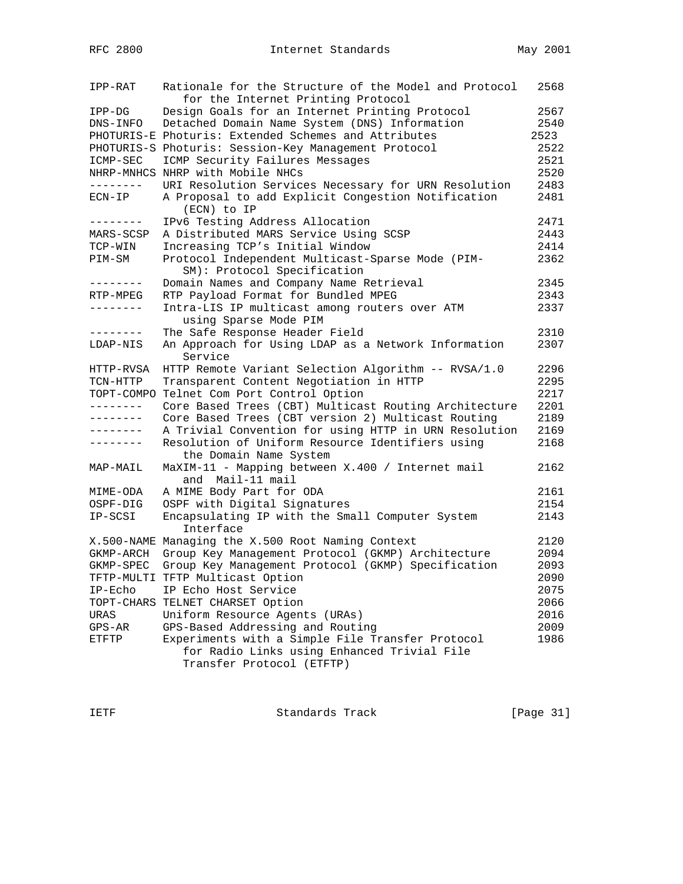| IPP-RAT         | Rationale for the Structure of the Model and Protocol                                           | 2568 |
|-----------------|-------------------------------------------------------------------------------------------------|------|
|                 | for the Internet Printing Protocol                                                              |      |
| IPP-DG          | Design Goals for an Internet Printing Protocol                                                  | 2567 |
| DNS-INFO        | Detached Domain Name System (DNS) Information                                                   | 2540 |
|                 | PHOTURIS-E Photuris: Extended Schemes and Attributes                                            | 2523 |
|                 | PHOTURIS-S Photuris: Session-Key Management Protocol                                            | 2522 |
| ICMP-SEC        | ICMP Security Failures Messages                                                                 | 2521 |
|                 | NHRP-MNHCS NHRP with Mobile NHCs                                                                | 2520 |
| --------        | URI Resolution Services Necessary for URN Resolution                                            | 2483 |
| $ECN-IP$        | A Proposal to add Explicit Congestion Notification<br>(ECN) to IP                               | 2481 |
| - - - - - - - - | IPv6 Testing Address Allocation                                                                 | 2471 |
| MARS-SCSP       | A Distributed MARS Service Using SCSP                                                           | 2443 |
| TCP-WIN         | Increasing TCP's Initial Window                                                                 | 2414 |
| PIM-SM          | Protocol Independent Multicast-Sparse Mode (PIM-<br>SM): Protocol Specification                 | 2362 |
| --------        | Domain Names and Company Name Retrieval                                                         | 2345 |
| RTP-MPEG        | RTP Payload Format for Bundled MPEG                                                             | 2343 |
| --------        | Intra-LIS IP multicast among routers over ATM<br>using Sparse Mode PIM                          | 2337 |
| --------        | The Safe Response Header Field                                                                  | 2310 |
| LDAP-NIS        | An Approach for Using LDAP as a Network Information<br>Service                                  | 2307 |
| HTTP-RVSA       | HTTP Remote Variant Selection Algorithm -- RVSA/1.0                                             | 2296 |
| TCN-HTTP        | Transparent Content Negotiation in HTTP                                                         | 2295 |
| TOPT-COMPO      | Telnet Com Port Control Option                                                                  | 2217 |
| --------        | Core Based Trees (CBT) Multicast Routing Architecture                                           | 2201 |
| --------        | Core Based Trees (CBT version 2) Multicast Routing                                              | 2189 |
| --------        | A Trivial Convention for using HTTP in URN Resolution                                           | 2169 |
| --------        | Resolution of Uniform Resource Identifiers using<br>the Domain Name System                      | 2168 |
| MAP-MAIL        | MaXIM-11 - Mapping between X.400 / Internet mail<br>and  Mail-11 mail                           | 2162 |
| MIME-ODA        | A MIME Body Part for ODA                                                                        | 2161 |
| OSPF-DIG        | OSPF with Digital Signatures                                                                    | 2154 |
| IP-SCSI         | Encapsulating IP with the Small Computer System<br>Interface                                    | 2143 |
|                 | X.500-NAME Managing the X.500 Root Naming Context                                               | 2120 |
| GKMP-ARCH       | Group Key Management Protocol (GKMP) Architecture                                               | 2094 |
| GKMP-SPEC       | Group Key Management Protocol (GKMP) Specification                                              | 2093 |
|                 | TFTP-MULTI TFTP Multicast Option                                                                | 2090 |
| IP-Echo         | IP Echo Host Service                                                                            | 2075 |
|                 | TOPT-CHARS TELNET CHARSET Option                                                                | 2066 |
| URAS            | Uniform Resource Agents (URAs)                                                                  | 2016 |
| $GPS-AR$        | GPS-Based Addressing and Routing                                                                | 2009 |
| ETFTP           | Experiments with a Simple File Transfer Protocol<br>for Radio Links using Enhanced Trivial File | 1986 |
|                 | Transfer Protocol (ETFTP)                                                                       |      |

IETF Standards Track [Page 31]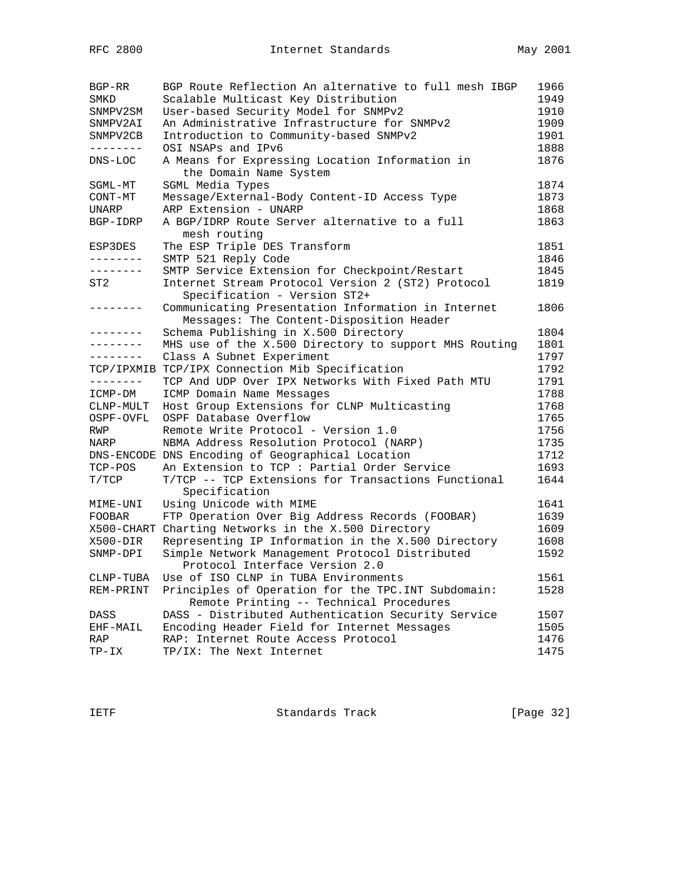| BGP-RR        | BGP Route Reflection An alternative to full mesh IBGP                                          | 1966 |
|---------------|------------------------------------------------------------------------------------------------|------|
| SMKD          | Scalable Multicast Key Distribution                                                            | 1949 |
| SNMPV2SM      | User-based Security Model for SNMPv2                                                           | 1910 |
| SNMPV2AI      | An Administrative Infrastructure for SNMPv2                                                    | 1909 |
| SNMPV2CB      | Introduction to Community-based SNMPv2                                                         | 1901 |
| --------      | OSI NSAPs and IPv6                                                                             | 1888 |
| $DNS-LOC$     | A Means for Expressing Location Information in<br>the Domain Name System                       | 1876 |
| SGML-MT       | SGML Media Types                                                                               | 1874 |
| CONT-MT       | Message/External-Body Content-ID Access Type                                                   | 1873 |
| <b>UNARP</b>  | ARP Extension - UNARP                                                                          | 1868 |
| BGP-IDRP      | A BGP/IDRP Route Server alternative to a full<br>mesh routing                                  | 1863 |
| ESP3DES       | The ESP Triple DES Transform                                                                   | 1851 |
| --------      | SMTP 521 Reply Code                                                                            | 1846 |
| --------      | SMTP Service Extension for Checkpoint/Restart                                                  | 1845 |
| ST2           | Internet Stream Protocol Version 2 (ST2) Protocol<br>Specification - Version ST2+              | 1819 |
| --------      | Communicating Presentation Information in Internet<br>Messages: The Content-Disposition Header | 1806 |
| --------      | Schema Publishing in X.500 Directory                                                           | 1804 |
| --------      | MHS use of the X.500 Directory to support MHS Routing                                          | 1801 |
| --------      | Class A Subnet Experiment                                                                      | 1797 |
| TCP/IPXMIB    | TCP/IPX Connection Mib Specification                                                           | 1792 |
| ________      | TCP And UDP Over IPX Networks With Fixed Path MTU                                              | 1791 |
| ICMP-DM       | ICMP Domain Name Messages                                                                      | 1788 |
| CLNP-MULT     | Host Group Extensions for CLNP Multicasting                                                    | 1768 |
| OSPF-OVFL     | OSPF Database Overflow                                                                         | 1765 |
| RWP           | Remote Write Protocol - Version 1.0                                                            | 1756 |
| NARP          | NBMA Address Resolution Protocol (NARP)                                                        | 1735 |
|               | DNS-ENCODE DNS Encoding of Geographical Location                                               | 1712 |
| TCP-POS       | An Extension to TCP : Partial Order Service                                                    | 1693 |
| T/TCP         | T/TCP -- TCP Extensions for Transactions Functional<br>Specification                           | 1644 |
| MIME-UNI      | Using Unicode with MIME                                                                        | 1641 |
| <b>FOOBAR</b> | FTP Operation Over Big Address Records (FOOBAR)                                                | 1639 |
|               | X500-CHART Charting Networks in the X.500 Directory                                            | 1609 |
| X500-DIR      | Representing IP Information in the X.500 Directory                                             | 1608 |
| SNMP-DPI      | Simple Network Management Protocol Distributed<br>Protocol Interface Version 2.0               | 1592 |
| CLNP-TUBA     | Use of ISO CLNP in TUBA Environments                                                           | 1561 |
| REM-PRINT     | Principles of Operation for the TPC. INT Subdomain:<br>Remote Printing -- Technical Procedures | 1528 |
| DASS          | DASS - Distributed Authentication Security Service                                             | 1507 |
| EHF-MAIL      | Encoding Header Field for Internet Messages                                                    | 1505 |
| RAP           | RAP: Internet Route Access Protocol                                                            | 1476 |
| $TP-IX$       | TP/IX: The Next Internet                                                                       | 1475 |

IETF Standards Track [Page 32]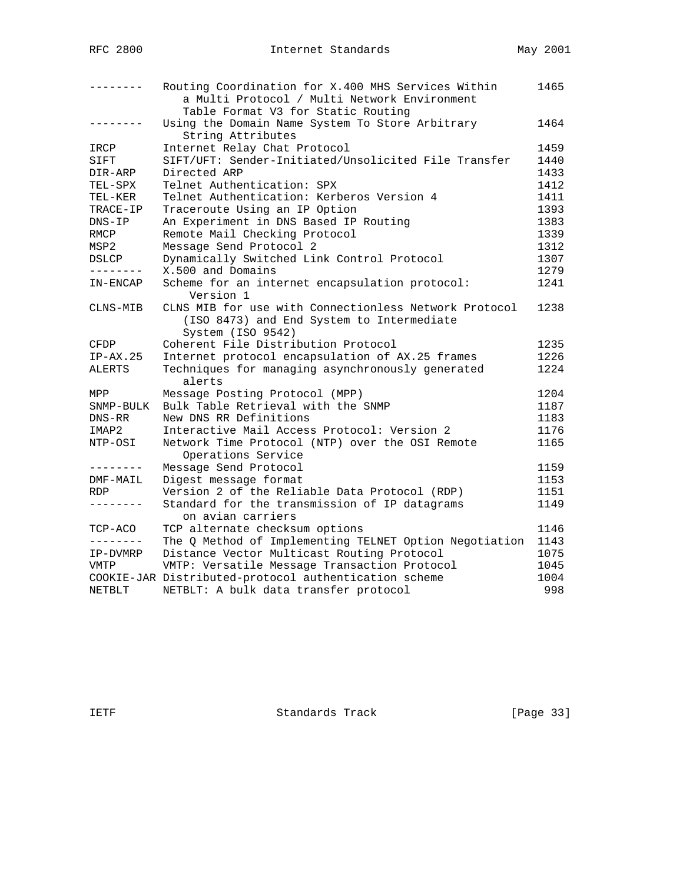|                 | Routing Coordination for X.400 MHS Services Within<br>a Multi Protocol / Multi Network Environment                      | 1465 |
|-----------------|-------------------------------------------------------------------------------------------------------------------------|------|
|                 | Table Format V3 for Static Routing                                                                                      |      |
| - - - - - - - - | Using the Domain Name System To Store Arbitrary<br>String Attributes                                                    | 1464 |
| IRCP            | Internet Relay Chat Protocol                                                                                            | 1459 |
| SIFT            | SIFT/UFT: Sender-Initiated/Unsolicited File Transfer                                                                    | 1440 |
| DIR-ARP         | Directed ARP                                                                                                            | 1433 |
| TEL-SPX         | Telnet Authentication: SPX                                                                                              | 1412 |
| TEL-KER         | Telnet Authentication: Kerberos Version 4                                                                               | 1411 |
| TRACE-IP        | Traceroute Using an IP Option                                                                                           | 1393 |
| $DNS-IP$        | An Experiment in DNS Based IP Routing                                                                                   | 1383 |
| RMCP            | Remote Mail Checking Protocol                                                                                           | 1339 |
| MSP2            | Message Send Protocol 2                                                                                                 | 1312 |
| DSLCP           | Dynamically Switched Link Control Protocol                                                                              | 1307 |
| --------        | X.500 and Domains                                                                                                       | 1279 |
| IN-ENCAP        | Scheme for an internet encapsulation protocol:<br>Version 1                                                             | 1241 |
| CLNS-MIB        | CLNS MIB for use with Connectionless Network Protocol<br>(ISO 8473) and End System to Intermediate<br>System (ISO 9542) | 1238 |
| CFDP            | Coherent File Distribution Protocol                                                                                     | 1235 |
| $IP-AX.25$      | Internet protocol encapsulation of AX.25 frames                                                                         | 1226 |
| ALERTS          | Techniques for managing asynchronously generated<br>alerts                                                              | 1224 |
| MPP             | Message Posting Protocol (MPP)                                                                                          | 1204 |
| SNMP-BULK       | Bulk Table Retrieval with the SNMP                                                                                      | 1187 |
| DNS-RR          | New DNS RR Definitions                                                                                                  | 1183 |
| IMAP2           | Interactive Mail Access Protocol: Version 2                                                                             | 1176 |
| NTP-OSI         | Network Time Protocol (NTP) over the OSI Remote<br>Operations Service                                                   | 1165 |
| --------        | Message Send Protocol                                                                                                   | 1159 |
| DMF-MAIL        | Digest message format                                                                                                   | 1153 |
| <b>RDP</b>      | Version 2 of the Reliable Data Protocol (RDP)                                                                           | 1151 |
| ---------       | Standard for the transmission of IP datagrams<br>on avian carriers                                                      | 1149 |
| TCP-ACO         | TCP alternate checksum options                                                                                          | 1146 |
| --------        | The Q Method of Implementing TELNET Option Negotiation                                                                  | 1143 |
| IP-DVMRP        | Distance Vector Multicast Routing Protocol                                                                              | 1075 |
| VMTP            | VMTP: Versatile Message Transaction Protocol                                                                            | 1045 |
|                 | COOKIE-JAR Distributed-protocol authentication scheme                                                                   | 1004 |
| NETBLT          | NETBLT: A bulk data transfer protocol                                                                                   | 998  |

IETF Standards Track [Page 33]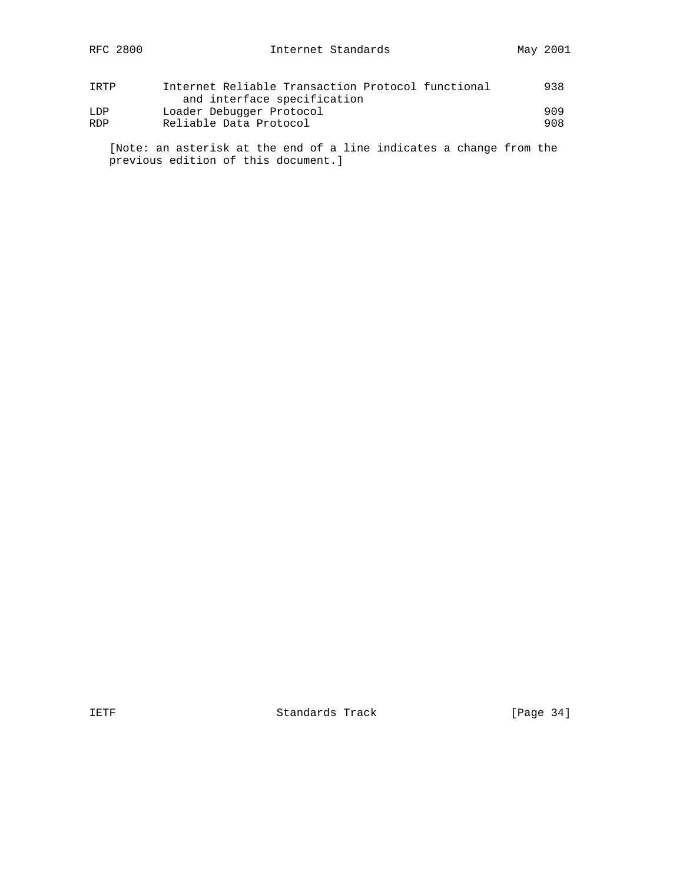| TRTP       | Internet Reliable Transaction Protocol functional | 938 |
|------------|---------------------------------------------------|-----|
|            | and interface specification                       |     |
| LDP        | Loader Debugger Protocol                          | 909 |
| <b>RDP</b> | Reliable Data Protocol                            | 908 |

 [Note: an asterisk at the end of a line indicates a change from the previous edition of this document.]

IETF Standards Track [Page 34]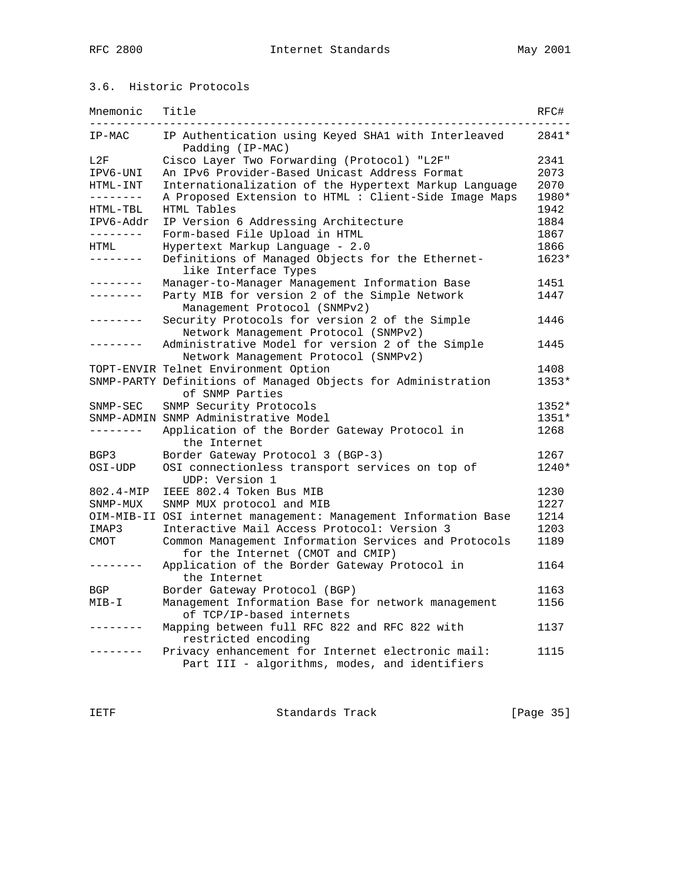## 3.6. Historic Protocols

| Mnemonic         | Title                                                                                              | RFC#    |
|------------------|----------------------------------------------------------------------------------------------------|---------|
| IP-MAC           | IP Authentication using Keyed SHA1 with Interleaved<br>Padding (IP-MAC)                            | 2841*   |
| L2F              | Cisco Layer Two Forwarding (Protocol) "L2F"                                                        | 2341    |
| IPV6-UNI         | An IPv6 Provider-Based Unicast Address Format                                                      | 2073    |
| HTML-INT         | Internationalization of the Hypertext Markup Language                                              | 2070    |
| ---------        | A Proposed Extension to HTML : Client-Side Image Maps                                              | 1980*   |
| HTML-TBL         | HTML Tables                                                                                        | 1942    |
| IPV6-Addr        | IP Version 6 Addressing Architecture                                                               | 1884    |
| ---------        | Form-based File Upload in HTML                                                                     | 1867    |
| HTML             | Hypertext Markup Language - 2.0                                                                    | 1866    |
| .                | Definitions of Managed Objects for the Ethernet-<br>like Interface Types                           | $1623*$ |
| . _ _ _ _ _ _ _  | Manager-to-Manager Management Information Base                                                     | 1451    |
| . _ _ _ _ _ _ _  | Party MIB for version 2 of the Simple Network<br>Management Protocol (SNMPv2)                      | 1447    |
| --------         | Security Protocols for version 2 of the Simple<br>Network Management Protocol (SNMPv2)             | 1446    |
| $\frac{1}{2}$    | Administrative Model for version 2 of the Simple<br>Network Management Protocol (SNMPv2)           | 1445    |
|                  | TOPT-ENVIR Telnet Environment Option                                                               | 1408    |
|                  | SNMP-PARTY Definitions of Managed Objects for Administration<br>of SNMP Parties                    | 1353*   |
| ${\tt SNMP-SEC}$ | SNMP Security Protocols                                                                            | 1352*   |
|                  | SNMP-ADMIN SNMP Administrative Model                                                               | 1351*   |
| --------         | Application of the Border Gateway Protocol in<br>the Internet                                      | 1268    |
| BGP3             | Border Gateway Protocol 3 (BGP-3)                                                                  | 1267    |
| OSI-UDP          | OSI connectionless transport services on top of<br>UDP: Version 1                                  | 1240*   |
| 802.4-MIP        | IEEE 802.4 Token Bus MIB                                                                           | 1230    |
| SNMP-MUX         | SNMP MUX protocol and MIB                                                                          | 1227    |
|                  | OIM-MIB-II OSI internet management: Management Information Base                                    | 1214    |
| IMAP3            | Interactive Mail Access Protocol: Version 3                                                        | 1203    |
| CMOT             | Common Management Information Services and Protocols<br>for the Internet (CMOT and CMIP)           | 1189    |
| - - - - - - - -  | Application of the Border Gateway Protocol in<br>the Internet                                      | 1164    |
| BGP              | Border Gateway Protocol (BGP)                                                                      | 1163    |
| MIB-I            | Management Information Base for network management<br>of TCP/IP-based internets                    | 1156    |
|                  | Mapping between full RFC 822 and RFC 822 with<br>restricted encoding                               | 1137    |
|                  | Privacy enhancement for Internet electronic mail:<br>Part III - algorithms, modes, and identifiers | 1115    |

IETF Standards Track [Page 35]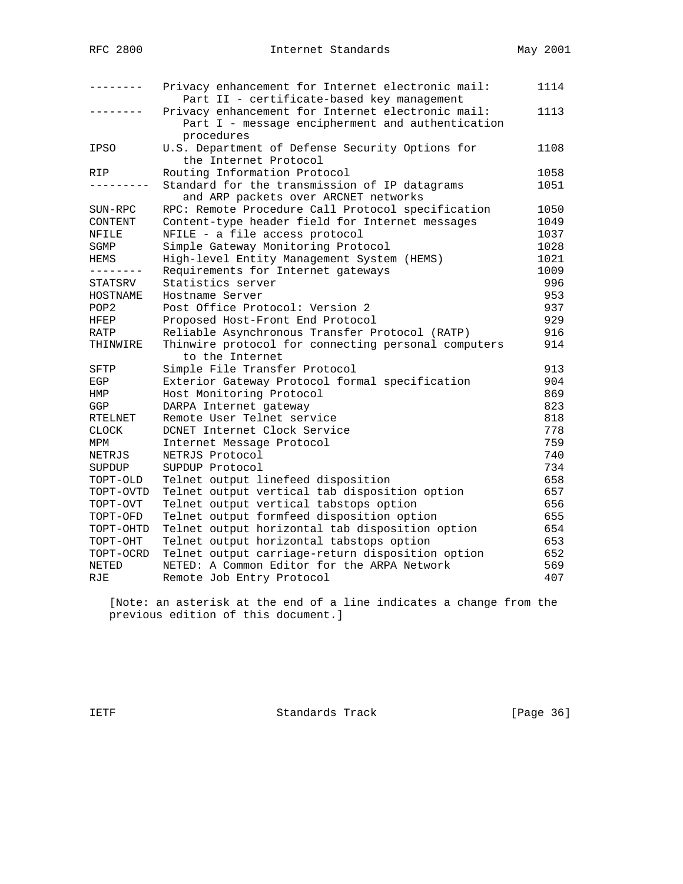|                               | Privacy enhancement for Internet electronic mail:<br>Part II - certificate-based key management                     | 1114 |
|-------------------------------|---------------------------------------------------------------------------------------------------------------------|------|
|                               | Privacy enhancement for Internet electronic mail:<br>Part I - message encipherment and authentication<br>procedures | 1113 |
| IPSO                          | U.S. Department of Defense Security Options for<br>the Internet Protocol                                            | 1108 |
| RIP                           | Routing Information Protocol                                                                                        | 1058 |
|                               | Standard for the transmission of IP datagrams<br>and ARP packets over ARCNET networks                               | 1051 |
| SUN-RPC                       | RPC: Remote Procedure Call Protocol specification                                                                   | 1050 |
| CONTENT                       | Content-type header field for Internet messages                                                                     | 1049 |
| NFILE                         | NFILE - a file access protocol                                                                                      | 1037 |
| SGMP                          | Simple Gateway Monitoring Protocol                                                                                  | 1028 |
| HEMS                          | High-level Entity Management System (HEMS)                                                                          | 1021 |
| -------                       | Requirements for Internet gateways                                                                                  | 1009 |
| STATSRV                       | Statistics server                                                                                                   | 996  |
| HOSTNAME                      | Hostname Server                                                                                                     | 953  |
| POP <sub>2</sub>              | Post Office Protocol: Version 2                                                                                     | 937  |
| HFEP                          | Proposed Host-Front End Protocol                                                                                    | 929  |
| RATP                          | Reliable Asynchronous Transfer Protocol (RATP)                                                                      | 916  |
| THINWIRE                      | Thinwire protocol for connecting personal computers<br>to the Internet                                              | 914  |
| SFTP                          | Simple File Transfer Protocol                                                                                       | 913  |
| EGP                           | Exterior Gateway Protocol formal specification                                                                      | 904  |
| HMP                           | Host Monitoring Protocol                                                                                            | 869  |
| GGP                           | DARPA Internet gateway                                                                                              | 823  |
| RTELNET                       | Remote User Telnet service                                                                                          | 818  |
| <b>CLOCK</b>                  | DCNET Internet Clock Service                                                                                        | 778  |
| MPM                           | Internet Message Protocol                                                                                           | 759  |
| NETRJS                        | NETRJS Protocol                                                                                                     | 740  |
| SUPDUP                        | SUPDUP Protocol                                                                                                     | 734  |
| TOPT-OLD                      | Telnet output linefeed disposition                                                                                  | 658  |
| $\texttt{TOPT}-\texttt{OVTD}$ | Telnet output vertical tab disposition option                                                                       | 657  |
| TOPT-OVT                      | Telnet output vertical tabstops option                                                                              | 656  |
| TOPT-OFD                      | Telnet output formfeed disposition option                                                                           | 655  |
| TOPT-OHTD                     | Telnet output horizontal tab disposition option                                                                     | 654  |
| TOPT-OHT                      | Telnet output horizontal tabstops option                                                                            | 653  |
| TOPT-OCRD                     | Telnet output carriage-return disposition option                                                                    | 652  |
| NETED                         | NETED: A Common Editor for the ARPA Network                                                                         | 569  |
| RJE                           | Remote Job Entry Protocol                                                                                           | 407  |

 [Note: an asterisk at the end of a line indicates a change from the previous edition of this document.]

IETF Standards Track [Page 36]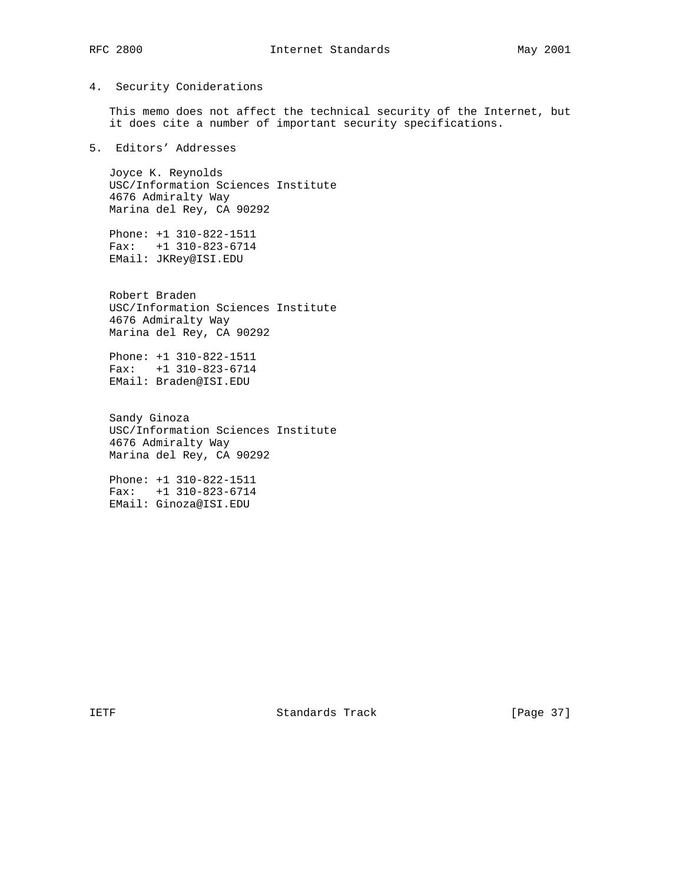### 4. Security Coniderations

 This memo does not affect the technical security of the Internet, but it does cite a number of important security specifications.

5. Editors' Addresses

 Joyce K. Reynolds USC/Information Sciences Institute 4676 Admiralty Way Marina del Rey, CA 90292

 Phone: +1 310-822-1511 Fax: +1 310-823-6714 EMail: JKRey@ISI.EDU

 Robert Braden USC/Information Sciences Institute 4676 Admiralty Way Marina del Rey, CA 90292

 Phone: +1 310-822-1511 Fax: +1 310-823-6714 EMail: Braden@ISI.EDU

 Sandy Ginoza USC/Information Sciences Institute 4676 Admiralty Way Marina del Rey, CA 90292

 Phone: +1 310-822-1511 Fax: +1 310-823-6714 EMail: Ginoza@ISI.EDU

IETF Standards Track [Page 37]